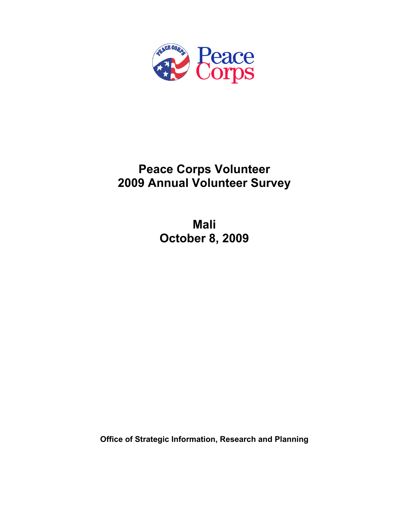

# **Peace Corps Volunteer 2009 Annual Volunteer Survey**

**Mali October 8, 2009** 

**Office of Strategic Information, Research and Planning**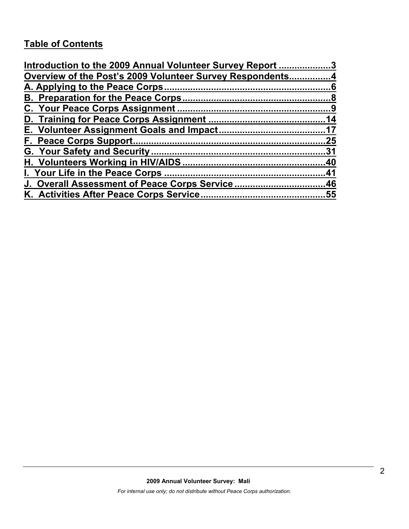# **Table of Contents**

| Introduction to the 2009 Annual Volunteer Survey Report 3 |     |
|-----------------------------------------------------------|-----|
| Overview of the Post's 2009 Volunteer Survey Respondents4 |     |
|                                                           |     |
|                                                           |     |
|                                                           |     |
|                                                           |     |
|                                                           |     |
|                                                           | .25 |
|                                                           |     |
|                                                           |     |
|                                                           |     |
| J. Overall Assessment of Peace Corps Service46            |     |
|                                                           |     |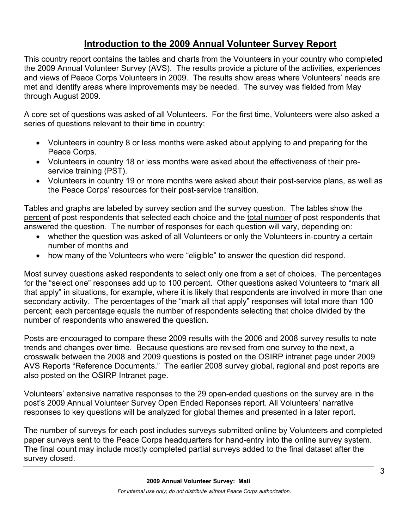# **Introduction to the 2009 Annual Volunteer Survey Report**

This country report contains the tables and charts from the Volunteers in your country who completed the 2009 Annual Volunteer Survey (AVS). The results provide a picture of the activities, experiences and views of Peace Corps Volunteers in 2009. The results show areas where Volunteers' needs are met and identify areas where improvements may be needed. The survey was fielded from May through August 2009.

A core set of questions was asked of all Volunteers. For the first time, Volunteers were also asked a series of questions relevant to their time in country:

- Volunteers in country 8 or less months were asked about applying to and preparing for the Peace Corps.
- Volunteers in country 18 or less months were asked about the effectiveness of their preservice training (PST).
- Volunteers in country 19 or more months were asked about their post-service plans, as well as the Peace Corps' resources for their post-service transition.

Tables and graphs are labeled by survey section and the survey question. The tables show the percent of post respondents that selected each choice and the total number of post respondents that answered the question. The number of responses for each question will vary, depending on:

- whether the question was asked of all Volunteers or only the Volunteers in-country a certain number of months and
- how many of the Volunteers who were "eligible" to answer the question did respond.

Most survey questions asked respondents to select only one from a set of choices. The percentages for the "select one" responses add up to 100 percent. Other questions asked Volunteers to "mark all that apply" in situations, for example, where it is likely that respondents are involved in more than one secondary activity. The percentages of the "mark all that apply" responses will total more than 100 percent; each percentage equals the number of respondents selecting that choice divided by the number of respondents who answered the question.

Posts are encouraged to compare these 2009 results with the 2006 and 2008 survey results to note trends and changes over time. Because questions are revised from one survey to the next, a crosswalk between the 2008 and 2009 questions is posted on the OSIRP intranet page under 2009 AVS Reports "Reference Documents." The earlier 2008 survey global, regional and post reports are also posted on the OSIRP Intranet page.

Volunteers' extensive narrative responses to the 29 open-ended questions on the survey are in the post's 2009 Annual Volunteer Survey Open Ended Reponses report. All Volunteers' narrative responses to key questions will be analyzed for global themes and presented in a later report.

The number of surveys for each post includes surveys submitted online by Volunteers and completed paper surveys sent to the Peace Corps headquarters for hand-entry into the online survey system. The final count may include mostly completed partial surveys added to the final dataset after the survey closed.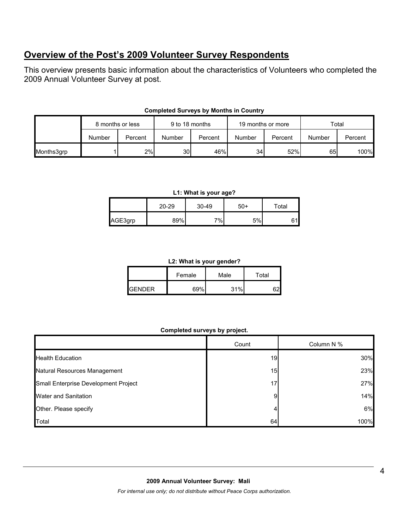# **Overview of the Post's 2009 Volunteer Survey Respondents**

This overview presents basic information about the characteristics of Volunteers who completed the 2009 Annual Volunteer Survey at post.

|            | 8 months or less |         | 9 to 18 months  |         | 19 months or more |         | Total  |         |
|------------|------------------|---------|-----------------|---------|-------------------|---------|--------|---------|
|            | Number           | Percent | Number          | Percent | Number            | Percent | Number | Percent |
| Months3grp |                  | 2%      | 30 <sup>1</sup> | 46%     | 34                | 52%     | 65     | 100%    |

#### **Completed Surveys by Months in Country**

#### **L1: What is your age?**

|         | $20 - 29$ | 30-49 | 50+ | $\tau$ otal |
|---------|-----------|-------|-----|-------------|
| AGE3grp | 89%       | 7%    | 5%  |             |

#### **L2: What is your gender?**

|                | Female | Male | Total |  |
|----------------|--------|------|-------|--|
| <b>IGENDER</b> | 69%    | 31%  |       |  |

#### **Completed surveys by project.**

|                                      | Count | Column N % |
|--------------------------------------|-------|------------|
| <b>Health Education</b>              | 19    | 30%        |
| Natural Resources Management         | 15    | 23%        |
| Small Enterprise Development Project | 17    | 27%        |
| <b>Water and Sanitation</b>          | 9     | 14%        |
| Other. Please specify                |       | 6%         |
| Total                                | 64    | 100%       |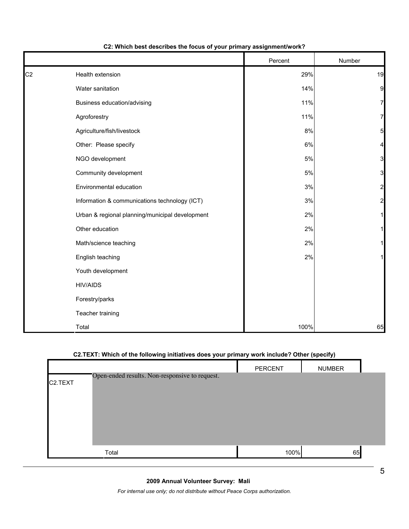|                |                                                 | Percent | Number                  |
|----------------|-------------------------------------------------|---------|-------------------------|
| C <sub>2</sub> | Health extension                                | 29%     | 19                      |
|                | Water sanitation                                | 14%     | 9                       |
|                | Business education/advising                     | 11%     | $\mathbf{z}$            |
|                | Agroforestry                                    | 11%     | 7                       |
|                | Agriculture/fish/livestock                      | 8%      | 5 <sub>l</sub>          |
|                | Other: Please specify                           | 6%      | 4                       |
|                | NGO development                                 | 5%      | $\overline{3}$          |
|                | Community development                           | 5%      | $\overline{\mathbf{3}}$ |
|                | Environmental education                         | 3%      | $\overline{c}$          |
|                | Information & communications technology (ICT)   | $3%$    | $\overline{2}$          |
|                | Urban & regional planning/municipal development | 2%      | 11                      |
|                | Other education                                 | 2%      | 1                       |
|                | Math/science teaching                           | 2%      | 11                      |
|                | English teaching                                | 2%      | $\mathbf{1}$            |
|                | Youth development                               |         |                         |
|                | <b>HIV/AIDS</b>                                 |         |                         |
|                | Forestry/parks                                  |         |                         |
|                | Teacher training                                |         |                         |
|                | Total                                           | 100%    | 65                      |

#### **C2: Which best describes the focus of your primary assignment/work?**

## **C2.TEXT: Which of the following initiatives does your primary work include? Other (specify)**

|                      |                                                | PERCENT | <b>NUMBER</b> |  |
|----------------------|------------------------------------------------|---------|---------------|--|
| C <sub>2</sub> .TEXT | Open-ended results. Non-responsive to request. |         |               |  |
|                      | Total                                          | 100%    | 65            |  |

#### **2009 Annual Volunteer Survey: Mali**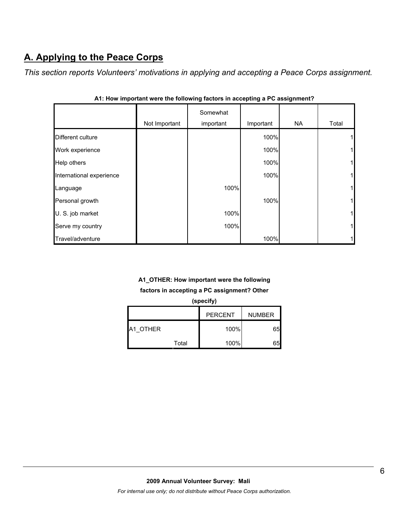# **A. Applying to the Peace Corps**

*This section reports Volunteers' motivations in applying and accepting a Peace Corps assignment.* 

|                          |               | Somewhat  |           |           |             |
|--------------------------|---------------|-----------|-----------|-----------|-------------|
|                          | Not Important | important | Important | <b>NA</b> | Total       |
| Different culture        |               |           | 100%      |           | 1           |
| Work experience          |               |           | 100%      |           | 1           |
| Help others              |               |           | 100%      |           | $\mathbf 1$ |
| International experience |               |           | 100%      |           | 1           |
| Language                 |               | 100%      |           |           | $\mathbf 1$ |
| Personal growth          |               |           | 100%      |           | 1           |
| U. S. job market         |               | 100%      |           |           | $\mathbf 1$ |
| Serve my country         |               | 100%      |           |           | $\mathbf 1$ |
| Travel/adventure         |               |           | 100%      |           | 1           |

|  |  |  |  | A1: How important were the following factors in accepting a PC assignment? |  |
|--|--|--|--|----------------------------------------------------------------------------|--|
|  |  |  |  |                                                                            |  |

# **A1\_OTHER: How important were the following**

**factors in accepting a PC assignment? Other** 

| (specify)                       |       |      |    |  |
|---------------------------------|-------|------|----|--|
| <b>PERCENT</b><br><b>NUMBER</b> |       |      |    |  |
| A1 OTHER                        |       | 100% | 65 |  |
|                                 | Total | 100% | 65 |  |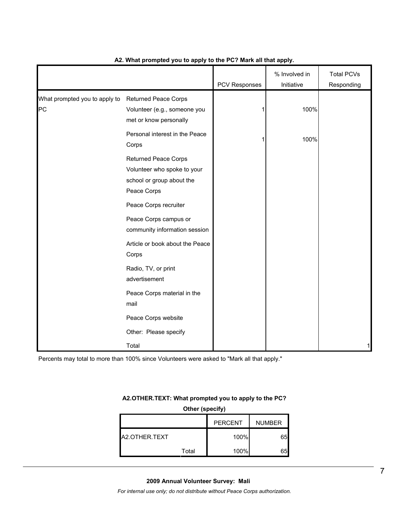|                                     |                                                                                                                                                                                                                              |               | % Involved in | <b>Total PCVs</b> |
|-------------------------------------|------------------------------------------------------------------------------------------------------------------------------------------------------------------------------------------------------------------------------|---------------|---------------|-------------------|
|                                     |                                                                                                                                                                                                                              | PCV Responses | Initiative    | Responding        |
| What prompted you to apply to<br>PC | <b>Returned Peace Corps</b><br>Volunteer (e.g., someone you<br>met or know personally                                                                                                                                        |               | 100%          |                   |
|                                     | Personal interest in the Peace<br>Corps                                                                                                                                                                                      |               | 100%          |                   |
|                                     | <b>Returned Peace Corps</b><br>Volunteer who spoke to your<br>school or group about the<br>Peace Corps<br>Peace Corps recruiter<br>Peace Corps campus or<br>community information session<br>Article or book about the Peace |               |               |                   |
|                                     | Corps<br>Radio, TV, or print<br>advertisement                                                                                                                                                                                |               |               |                   |
|                                     | Peace Corps material in the<br>mail                                                                                                                                                                                          |               |               |                   |
|                                     | Peace Corps website                                                                                                                                                                                                          |               |               |                   |
|                                     | Other: Please specify                                                                                                                                                                                                        |               |               |                   |
|                                     | Total                                                                                                                                                                                                                        |               |               | 1                 |

#### **A2. What prompted you to apply to the PC? Mark all that apply.**

Percents may total to more than 100% since Volunteers were asked to "Mark all that apply."

#### **A2.OTHER.TEXT: What prompted you to apply to the PC?**

| Other (specify) |                                 |      |    |  |  |  |
|-----------------|---------------------------------|------|----|--|--|--|
|                 | <b>PERCENT</b><br><b>NUMBER</b> |      |    |  |  |  |
| A2.OTHER.TEXT   |                                 | 100% | 65 |  |  |  |
|                 | Total                           | 100% | 65 |  |  |  |

**2009 Annual Volunteer Survey: Mali**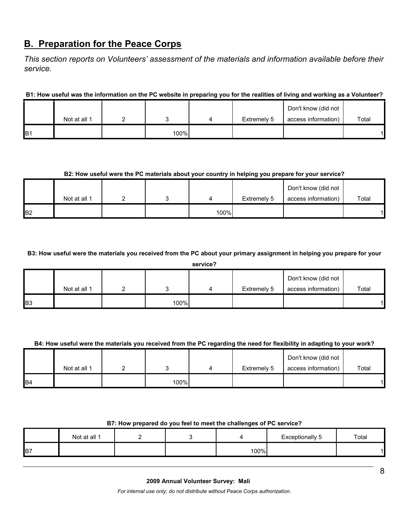# **B. Preparation for the Peace Corps**

*This section reports on Volunteers' assessment of the materials and information available before their service.* 

**B1: How useful was the information on the PC website in preparing you for the realities of living and working as a Volunteer?**

|                |              |      |             | Don't know (did not |       |
|----------------|--------------|------|-------------|---------------------|-------|
|                | Not at all 1 |      | Extremely 5 | access information) | Total |
| B <sub>1</sub> |              | 100% |             |                     |       |

# **B2: How useful were the PC materials about your country in helping you prepare for your service?**

|                |              |  |      |             | Don't know (did not |       |
|----------------|--------------|--|------|-------------|---------------------|-------|
|                | Not at all 1 |  |      | Extremely 5 | access information) | Total |
| B <sub>2</sub> |              |  | 100% |             |                     |       |

**B3: How useful were the materials you received from the PC about your primary assignment in helping you prepare for your** 

| service? |
|----------|
|----------|

|            | Not at all 1 |      | Extremely 5 | Don't know (did not<br>access information) | Total |
|------------|--------------|------|-------------|--------------------------------------------|-------|
| <b>B</b> 3 |              | 100% |             |                                            |       |

#### **B4: How useful were the materials you received from the PC regarding the need for flexibility in adapting to your work?**

|                |              |      |             | Don't know (did not |       |
|----------------|--------------|------|-------------|---------------------|-------|
|                | Not at all 1 |      | Extremely 5 | access information) | Total |
| B <sub>4</sub> |              | 100% |             |                     |       |

#### **B7: How prepared do you feel to meet the challenges of PC service?**

|                | Not at all 1 |  |      | Exceptionally 5 | Total |
|----------------|--------------|--|------|-----------------|-------|
| B <sub>7</sub> |              |  | 100% |                 |       |

#### **2009 Annual Volunteer Survey: Mali**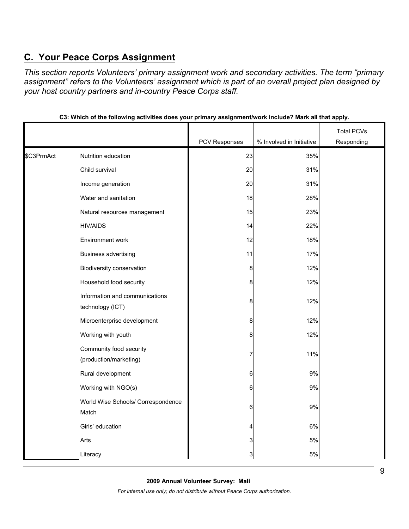# **C. Your Peace Corps Assignment**

*This section reports Volunteers' primary assignment work and secondary activities. The term "primary assignment" refers to the Volunteers' assignment which is part of an overall project plan designed by your host country partners and in-country Peace Corps staff.* 

|            |                                                    |               |                          | <b>Total PCVs</b> |
|------------|----------------------------------------------------|---------------|--------------------------|-------------------|
|            |                                                    | PCV Responses | % Involved in Initiative | Responding        |
| \$C3PrmAct | Nutrition education                                | 23            | 35%                      |                   |
|            | Child survival                                     | 20            | 31%                      |                   |
|            | Income generation                                  | 20            | 31%                      |                   |
|            | Water and sanitation                               | 18            | 28%                      |                   |
|            | Natural resources management                       | 15            | 23%                      |                   |
|            | <b>HIV/AIDS</b>                                    | 14            | 22%                      |                   |
|            | Environment work                                   | 12            | 18%                      |                   |
|            | <b>Business advertising</b>                        | 11            | 17%                      |                   |
|            | Biodiversity conservation                          | 8             | 12%                      |                   |
|            | Household food security                            | 8             | 12%                      |                   |
|            | Information and communications<br>technology (ICT) | 8             | 12%                      |                   |
|            | Microenterprise development                        | 8             | 12%                      |                   |
|            | Working with youth                                 | 8             | 12%                      |                   |
|            | Community food security<br>(production/marketing)  | 7             | 11%                      |                   |
|            | Rural development                                  | 6             | $9\%$                    |                   |
|            | Working with NGO(s)                                | 6             | 9%                       |                   |
|            | World Wise Schools/ Correspondence<br>Match        | 6             | 9%                       |                   |
|            | Girls' education                                   | 4             | 6%                       |                   |
|            | Arts                                               | 3             | 5%                       |                   |
|            | Literacy                                           | 3             | $5\%$                    |                   |

**C3: Which of the following activities does your primary assignment/work include? Mark all that apply.**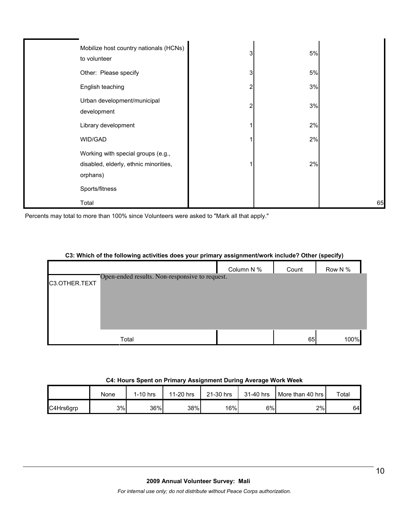| Mobilize host country nationals (HCNs)<br>to volunteer                                  | 3 | 5% |    |
|-----------------------------------------------------------------------------------------|---|----|----|
| Other: Please specify                                                                   | 3 | 5% |    |
| English teaching                                                                        | 2 | 3% |    |
| Urban development/municipal<br>development                                              | 2 | 3% |    |
| Library development                                                                     |   | 2% |    |
| WID/GAD                                                                                 |   | 2% |    |
| Working with special groups (e.g.,<br>disabled, elderly, ethnic minorities,<br>orphans) |   | 2% |    |
| Sports/fitness                                                                          |   |    |    |
| Total                                                                                   |   |    | 65 |

Percents may total to more than 100% since Volunteers were asked to "Mark all that apply."

#### **C3: Which of the following activities does your primary assignment/work include? Other (specify)**

|               |                                                | Column N % | Count | Row N % |
|---------------|------------------------------------------------|------------|-------|---------|
| C3.OTHER.TEXT | Open-ended results. Non-responsive to request. |            |       |         |
|               |                                                |            |       |         |
|               |                                                |            |       |         |
|               |                                                |            |       |         |
|               | Total                                          |            | 65    | 100%    |

#### **C4: Hours Spent on Primary Assignment During Average Work Week**

|           | None | $1-10$ hrs | 11-20 hrs | 21-30 hrs | 31-40 hrs | More than 40 hrs I | $\tau$ otal |
|-----------|------|------------|-----------|-----------|-----------|--------------------|-------------|
| C4Hrs6grp | 3%   | 36%        | 38%       | 16%       | 6%        | 2%                 | 64          |

#### **2009 Annual Volunteer Survey: Mali**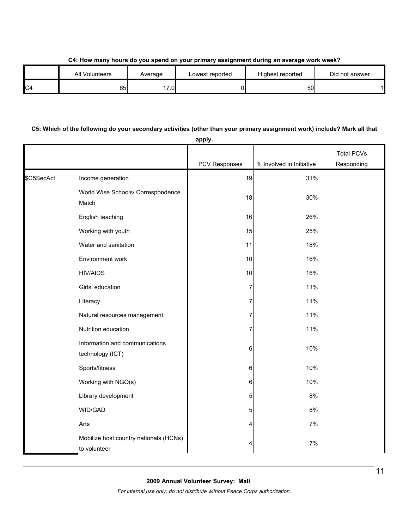**C4: How many hours do you spend on your primary assignment during an average work week?**

|                | <b>All Volunteers</b> | Average | Lowest reported | Highest reported | Did not answer |
|----------------|-----------------------|---------|-----------------|------------------|----------------|
| C <sub>4</sub> | 65                    | 17.0    |                 | 50l              |                |

## **C5: Which of the following do your secondary activities (other than your primary assignment work) include? Mark all that**

|            |                                                        | apply.        |                          |                   |
|------------|--------------------------------------------------------|---------------|--------------------------|-------------------|
|            |                                                        |               |                          | <b>Total PCVs</b> |
|            |                                                        | PCV Responses | % Involved in Initiative | Responding        |
| \$C5SecAct | Income generation                                      | 19            | 31%                      |                   |
|            | World Wise Schools/ Correspondence<br>Match            | 18            | 30%                      |                   |
|            | English teaching                                       | 16            | 26%                      |                   |
|            | Working with youth                                     | 15            | 25%                      |                   |
|            | Water and sanitation                                   | 11            | 18%                      |                   |
|            | Environment work                                       | 10            | 16%                      |                   |
|            | <b>HIV/AIDS</b>                                        | 10            | 16%                      |                   |
|            | Girls' education                                       | 7             | 11%                      |                   |
|            | Literacy                                               | 7             | 11%                      |                   |
|            | Natural resources management                           | 7             | 11%                      |                   |
|            | Nutrition education                                    | 7             | 11%                      |                   |
|            | Information and communications<br>technology (ICT)     | 6             | 10%                      |                   |
|            | Sports/fitness                                         | 6             | 10%                      |                   |
|            | Working with NGO(s)                                    | 6             | 10%                      |                   |
|            | Library development                                    | 5             | $8\%$                    |                   |
|            | WID/GAD                                                | 5             | $8\%$                    |                   |
|            | Arts                                                   | 4             | 7%                       |                   |
|            | Mobilize host country nationals (HCNs)<br>to volunteer | 4             | $7\%$                    |                   |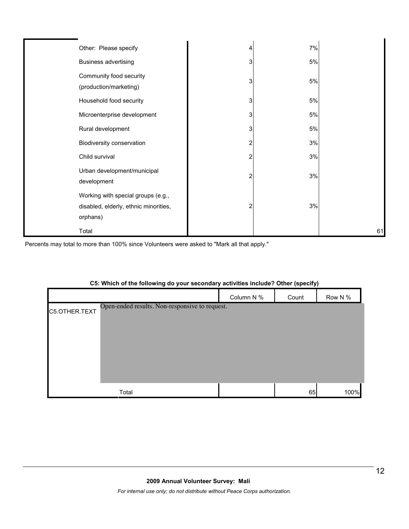| Other: Please specify                                                                   |   | 7%   |    |
|-----------------------------------------------------------------------------------------|---|------|----|
| <b>Business advertising</b>                                                             | 3 | $5%$ |    |
| Community food security<br>(production/marketing)                                       | 3 | 5%   |    |
| Household food security                                                                 | 3 | 5%   |    |
| Microenterprise development                                                             | 3 | 5%   |    |
| Rural development                                                                       | 3 | 5%   |    |
| Biodiversity conservation                                                               |   | 3%   |    |
| Child survival                                                                          |   | 3%   |    |
| Urban development/municipal<br>development                                              | 2 | 3%   |    |
| Working with special groups (e.g.,<br>disabled, elderly, ethnic minorities,<br>orphans) | 2 | 3%   |    |
| Total                                                                                   |   |      | 61 |

Percents may total to more than 100% since Volunteers were asked to "Mark all that apply."

# Column N % Count Row N % C5.OTHER.TEXT Total 65 100% Open-ended results. Non-responsive to request.

## **C5: Which of the following do your secondary activities include? Other (specify)**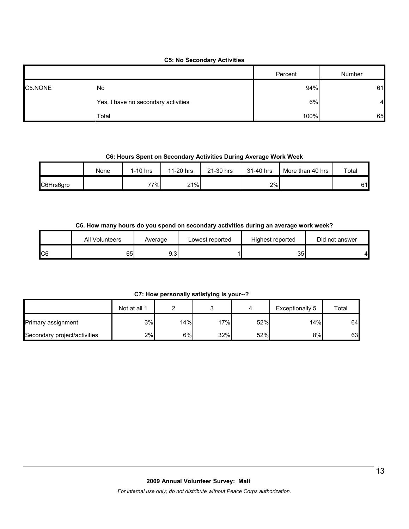# **C5: No Secondary Activities**

|         |                                     | Percent | Number |
|---------|-------------------------------------|---------|--------|
| C5.NONE | No                                  | 94%     | 61     |
|         | Yes, I have no secondary activities | 6%      | 41     |
|         | Total                               | 100%    | 65     |

## **C6: Hours Spent on Secondary Activities During Average Work Week**

|           | None | 1-10 hrs | 11-20 hrs | 21-30 hrs | 31-40 hrs | More than 40 hrs | Total |
|-----------|------|----------|-----------|-----------|-----------|------------------|-------|
| C6Hrs6grp |      | 77%      | 21%       |           | 2%        |                  | 61    |

#### **C6. How many hours do you spend on secondary activities during an average work week?**

|    | All Volunteers<br>Average |              | Lowest reported | Highest reported | Did not answer |  |
|----|---------------------------|--------------|-----------------|------------------|----------------|--|
| C6 | 65                        | ו בי<br>୬.୪। |                 | 35               |                |  |

**C7: How personally satisfying is your--?**

|                              | Not at all 1 |     |     |     | Exceptionally 5  | Total |
|------------------------------|--------------|-----|-----|-----|------------------|-------|
| Primary assignment           | 3%           | 14% | 17% | 52% | 14% <sub>1</sub> | 64    |
| Secondary project/activities | 2%           | 6%  | 32% | 52% | 8%               | 63    |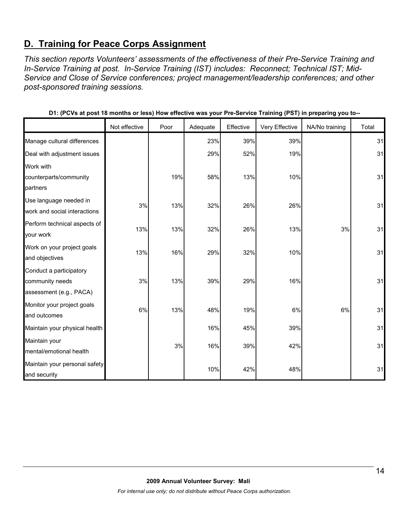# **D. Training for Peace Corps Assignment**

*This section reports Volunteers' assessments of the effectiveness of their Pre-Service Training and In-Service Training at post. In-Service Training (IST) includes: Reconnect; Technical IST; Mid-Service and Close of Service conferences; project management/leadership conferences; and other post-sponsored training sessions.* 

|                                                                       | Not effective | Poor | Adequate | Effective | Very Effective | NA/No training | Total |
|-----------------------------------------------------------------------|---------------|------|----------|-----------|----------------|----------------|-------|
| Manage cultural differences                                           |               |      | 23%      | 39%       | 39%            |                | 31    |
| Deal with adjustment issues                                           |               |      | 29%      | 52%       | 19%            |                | 31    |
| Work with<br>counterparts/community<br>partners                       |               | 19%  | 58%      | 13%       | 10%            |                | 31    |
| Use language needed in<br>work and social interactions                | 3%            | 13%  | 32%      | 26%       | 26%            |                | 31    |
| Perform technical aspects of<br>your work                             | 13%           | 13%  | 32%      | 26%       | 13%            | 3%             | 31    |
| Work on your project goals<br>and objectives                          | 13%           | 16%  | 29%      | 32%       | 10%            |                | 31    |
| Conduct a participatory<br>community needs<br>assessment (e.g., PACA) | 3%            | 13%  | 39%      | 29%       | 16%            |                | 31    |
| Monitor your project goals<br>and outcomes                            | 6%            | 13%  | 48%      | 19%       | 6%             | 6%             | 31    |
| Maintain your physical health                                         |               |      | 16%      | 45%       | 39%            |                | 31    |
| Maintain your<br>mental/emotional health                              |               | 3%   | 16%      | 39%       | 42%            |                | 31    |
| Maintain your personal safety<br>and security                         |               |      | 10%      | 42%       | 48%            |                | 31    |

**D1: (PCVs at post 18 months or less) How effective was your Pre-Service Training (PST) in preparing you to--**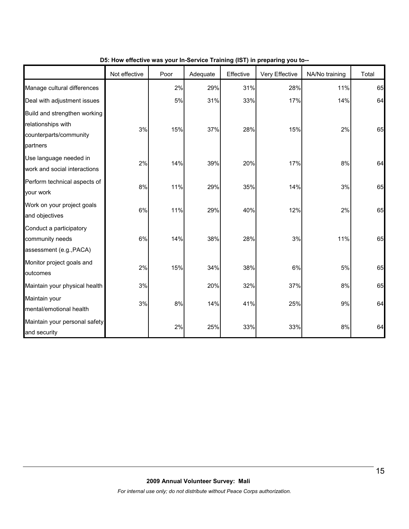|                                                                                          | Not effective | Poor | Adequate | Effective | Very Effective | NA/No training | Total |
|------------------------------------------------------------------------------------------|---------------|------|----------|-----------|----------------|----------------|-------|
| Manage cultural differences                                                              |               | 2%   | 29%      | 31%       | 28%            | 11%            | 65    |
| Deal with adjustment issues                                                              |               | 5%   | 31%      | 33%       | 17%            | 14%            | 64    |
| Build and strengthen working<br>relationships with<br>counterparts/community<br>partners | 3%            | 15%  | 37%      | 28%       | 15%            | 2%             | 65    |
| Use language needed in<br>work and social interactions                                   | 2%            | 14%  | 39%      | 20%       | 17%            | 8%             | 64    |
| Perform technical aspects of<br>your work                                                | 8%            | 11%  | 29%      | 35%       | 14%            | 3%             | 65    |
| Work on your project goals<br>and objectives                                             | 6%            | 11%  | 29%      | 40%       | 12%            | 2%             | 65    |
| Conduct a participatory<br>community needs<br>assessment (e.g., PACA)                    | 6%            | 14%  | 38%      | 28%       | 3%             | 11%            | 65    |
| Monitor project goals and<br>outcomes                                                    | 2%            | 15%  | 34%      | 38%       | $6\%$          | 5%             | 65    |
| Maintain your physical health                                                            | 3%            |      | 20%      | 32%       | 37%            | 8%             | 65    |
| Maintain your<br>mental/emotional health                                                 | 3%            | 8%   | 14%      | 41%       | 25%            | 9%             | 64    |
| Maintain your personal safety<br>and security                                            |               | 2%   | 25%      | 33%       | 33%            | 8%             | 64    |

#### **D5: How effective was your In-Service Training (IST) in preparing you to--**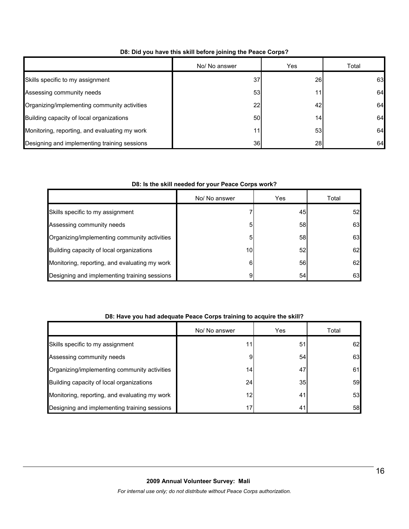|                                               | No/ No answer   | Yes | Total |
|-----------------------------------------------|-----------------|-----|-------|
| Skills specific to my assignment              | 37              | 26  | 63    |
| Assessing community needs                     | 53              |     | 64    |
| Organizing/implementing community activities  | 22              | 42  | 64    |
| Building capacity of local organizations      | 50              | 14  | 64    |
| Monitoring, reporting, and evaluating my work | 11              | 53  | 64    |
| Designing and implementing training sessions  | 36 <sup>l</sup> | 28  | 64    |

## **D8: Did you have this skill before joining the Peace Corps?**

## **D8: Is the skill needed for your Peace Corps work?**

|                                               | No/ No answer | Yes             | Total |
|-----------------------------------------------|---------------|-----------------|-------|
| Skills specific to my assignment              |               | 45              | 52    |
| Assessing community needs                     |               | 58              | 63    |
| Organizing/implementing community activities  |               | 58              | 63    |
| Building capacity of local organizations      | 10            | 52 <sub>l</sub> | 62    |
| Monitoring, reporting, and evaluating my work | հ             | 56              | 62    |
| Designing and implementing training sessions  | 9             | 54              | 63    |

## **D8: Have you had adequate Peace Corps training to acquire the skill?**

|                                               | No/ No answer | Yes             | Total |
|-----------------------------------------------|---------------|-----------------|-------|
| Skills specific to my assignment              |               | 51              | 62    |
| Assessing community needs                     | 9             | 54              | 63    |
| Organizing/implementing community activities  | 14            | 47              | 61    |
| Building capacity of local organizations      | 24            | 35 <sub>l</sub> | 59    |
| Monitoring, reporting, and evaluating my work | 12            | 41              | 53    |
| Designing and implementing training sessions  | 17            | 41              | 58    |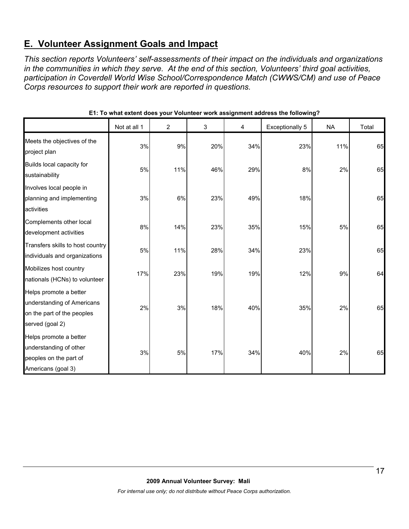# **E. Volunteer Assignment Goals and Impact**

*This section reports Volunteers' self-assessments of their impact on the individuals and organizations in the communities in which they serve. At the end of this section, Volunteers' third goal activities, participation in Coverdell World Wise School/Correspondence Match (CWWS/CM) and use of Peace Corps resources to support their work are reported in questions.* 

|                                                                                                       | Not at all 1 | $\overline{c}$ | 3   | 4   | Exceptionally 5 | <b>NA</b> | Total |
|-------------------------------------------------------------------------------------------------------|--------------|----------------|-----|-----|-----------------|-----------|-------|
| Meets the objectives of the<br>project plan                                                           | 3%           | 9%             | 20% | 34% | 23%             | 11%       | 65    |
| Builds local capacity for<br>sustainability                                                           | 5%           | 11%            | 46% | 29% | 8%              | 2%        | 65    |
| Involves local people in<br>planning and implementing<br>activities                                   | 3%           | 6%             | 23% | 49% | 18%             |           | 65    |
| Complements other local<br>development activities                                                     | 8%           | 14%            | 23% | 35% | 15%             | 5%        | 65    |
| Transfers skills to host country<br>individuals and organizations                                     | 5%           | 11%            | 28% | 34% | 23%             |           | 65    |
| Mobilizes host country<br>nationals (HCNs) to volunteer                                               | 17%          | 23%            | 19% | 19% | 12%             | 9%        | 64    |
| Helps promote a better<br>understanding of Americans<br>on the part of the peoples<br>served (goal 2) | 2%           | 3%             | 18% | 40% | 35%             | 2%        | 65    |
| Helps promote a better<br>understanding of other<br>peoples on the part of<br>Americans (goal 3)      | 3%           | 5%             | 17% | 34% | 40%             | 2%        | 65    |

**E1: To what extent does your Volunteer work assignment address the following?**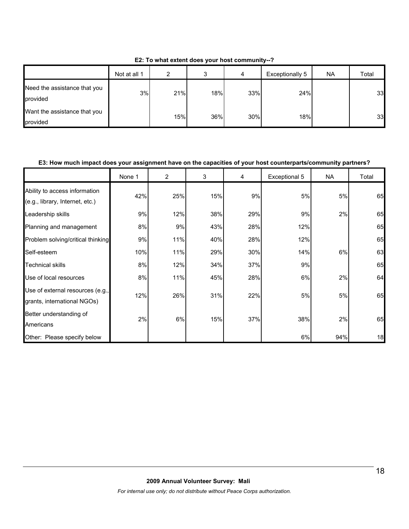|                                          | Not at all 1 | ົ   |     | 4   | Exceptionally 5 | <b>NA</b> | Total |
|------------------------------------------|--------------|-----|-----|-----|-----------------|-----------|-------|
| Need the assistance that you<br>provided | 3%           | 21% | 18% | 33% | 24%             |           | 33    |
| Want the assistance that you<br>provided |              | 15% | 36% | 30% | 18%             |           | 33    |

**E2: To what extent does your host community--?**

#### **E3: How much impact does your assignment have on the capacities of your host counterparts/community partners?**

|                                                                  | None 1 | $\overline{2}$ | 3   | 4   | Exceptional 5 | <b>NA</b> | Total |
|------------------------------------------------------------------|--------|----------------|-----|-----|---------------|-----------|-------|
| Ability to access information<br>(e.g., library, Internet, etc.) | 42%    | 25%            | 15% | 9%  | 5%            | 5%        | 65    |
| Leadership skills                                                | 9%     | 12%            | 38% | 29% | 9%            | 2%        | 65    |
| Planning and management                                          | 8%     | 9%             | 43% | 28% | 12%           |           | 65    |
| Problem solving/critical thinking                                | 9%     | 11%            | 40% | 28% | 12%           |           | 65    |
| Self-esteem                                                      | 10%    | 11%            | 29% | 30% | 14%           | 6%        | 63    |
| <b>Technical skills</b>                                          | 8%     | 12%            | 34% | 37% | 9%            |           | 65    |
| Use of local resources                                           | 8%     | 11%            | 45% | 28% | 6%            | 2%        | 64    |
| Use of external resources (e.g.,<br>grants, international NGOs)  | 12%    | 26%            | 31% | 22% | 5%            | 5%        | 65    |
| Better understanding of<br>Americans                             | 2%     | 6%             | 15% | 37% | 38%           | 2%        | 65    |
| Other: Please specify below                                      |        |                |     |     | 6%            | 94%       | 18    |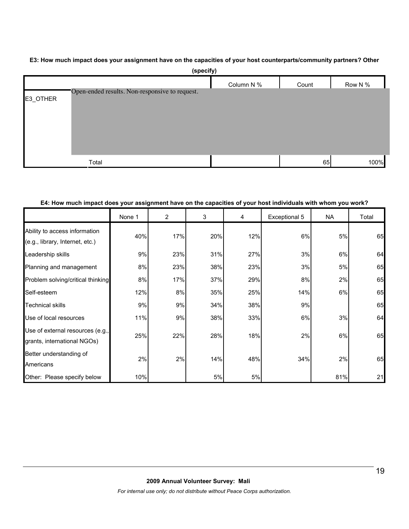#### **E3: How much impact does your assignment have on the capacities of your host counterparts/community partners? Other**

|          | (specify)                                      |            |       |         |
|----------|------------------------------------------------|------------|-------|---------|
|          |                                                | Column N % | Count | Row N % |
| E3_OTHER | Open-ended results. Non-responsive to request. |            |       |         |
|          |                                                |            |       |         |
|          | Total                                          |            | 65    | 100%    |
|          |                                                |            |       |         |

#### **E4: How much impact does your assignment have on the capacities of your host individuals with whom you work?**

|                                                                  | None 1 | 2   | 3   | 4   | Exceptional 5 | <b>NA</b> | Total |
|------------------------------------------------------------------|--------|-----|-----|-----|---------------|-----------|-------|
| Ability to access information<br>(e.g., library, Internet, etc.) | 40%    | 17% | 20% | 12% | 6%            | 5%        | 65    |
| Leadership skills                                                | 9%     | 23% | 31% | 27% | 3%            | 6%        | 64    |
| Planning and management                                          | 8%     | 23% | 38% | 23% | 3%            | 5%        | 65    |
| Problem solving/critical thinking                                | 8%     | 17% | 37% | 29% | 8%            | 2%        | 65    |
| Self-esteem                                                      | 12%    | 8%  | 35% | 25% | 14%           | 6%        | 65    |
| <b>Technical skills</b>                                          | 9%     | 9%  | 34% | 38% | 9%            |           | 65    |
| Use of local resources                                           | 11%    | 9%  | 38% | 33% | 6%            | 3%        | 64    |
| Use of external resources (e.g.,<br>grants, international NGOs)  | 25%    | 22% | 28% | 18% | 2%            | 6%        | 65    |
| Better understanding of<br>Americans                             | 2%     | 2%  | 14% | 48% | 34%           | 2%        | 65    |
| Other: Please specify below                                      | 10%    |     | 5%  | 5%  |               | 81%       | 21    |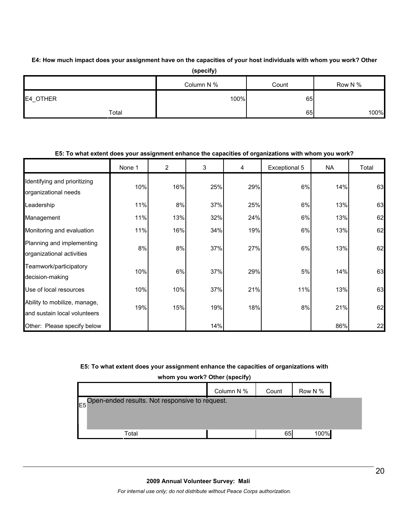**E4: How much impact does your assignment have on the capacities of your host individuals with whom you work? Other** 

|          | (specify)  |       |         |
|----------|------------|-------|---------|
|          | Column N % | Count | Row N % |
| E4_OTHER | 100%       | 65    |         |
| Total    |            | 65    | 100%    |

## **E5: To what extent does your assignment enhance the capacities of organizations with whom you work?**

|                                                              | None 1 | $\overline{2}$ | 3   | 4   | Exceptional 5 | NA  | Total |
|--------------------------------------------------------------|--------|----------------|-----|-----|---------------|-----|-------|
| Identifying and prioritizing<br>organizational needs         | 10%    | 16%            | 25% | 29% | 6%            | 14% | 63    |
| Leadership                                                   | 11%    | 8%             | 37% | 25% | $6\%$         | 13% | 63    |
| Management                                                   | 11%    | 13%            | 32% | 24% | 6%            | 13% | 62    |
| Monitoring and evaluation                                    | 11%    | 16%            | 34% | 19% | $6\%$         | 13% | 62    |
| Planning and implementing<br>organizational activities       | 8%     | 8%             | 37% | 27% | 6%            | 13% | 62    |
| Teamwork/participatory<br>decision-making                    | 10%    | 6%             | 37% | 29% | 5%            | 14% | 63    |
| Use of local resources                                       | 10%    | 10%            | 37% | 21% | 11%           | 13% | 63    |
| Ability to mobilize, manage,<br>and sustain local volunteers | 19%    | 15%            | 19% | 18% | 8%            | 21% | 62    |
| Other: Please specify below                                  |        |                | 14% |     |               | 86% | 22    |

#### **E5: To what extent does your assignment enhance the capacities of organizations with**

**whom you work? Other (specify)**

|                                                               | . .        |       |         |
|---------------------------------------------------------------|------------|-------|---------|
|                                                               | Column N % | Count | Row N % |
| E <sub>5</sub> Open-ended results. Not responsive to request. |            |       |         |
|                                                               |            |       |         |
|                                                               |            |       |         |
| Total                                                         |            | 65    | 100%    |

#### **2009 Annual Volunteer Survey: Mali**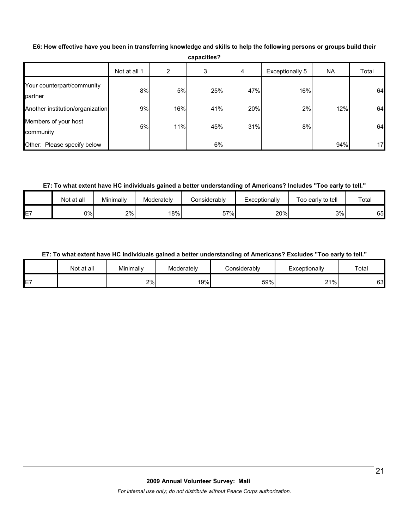|                                       |              |     | capacities? |     |                 |           |       |
|---------------------------------------|--------------|-----|-------------|-----|-----------------|-----------|-------|
|                                       | Not at all 1 | 2   | 3           | 4   | Exceptionally 5 | <b>NA</b> | Total |
| Your counterpart/community<br>partner | 8%           | 5%  | 25%         | 47% | 16%             |           | 64    |
| Another institution/organization      | 9%           | 16% | 41%         | 20% | 2%              | 12%       | 64    |
| Members of your host<br>community     | 5%           | 11% | 45%         | 31% | 8%              |           | 64    |
| Other: Please specify below           |              |     | 6%          |     |                 | 94%       | 17    |

**E6: How effective have you been in transferring knowledge and skills to help the following persons or groups build their** 

## **E7: To what extent have HC individuals gained a better understanding of Americans? Includes "Too early to tell."**

|    | Not at all | Minimally | Moderately | Considerablv | Exceptionally | Too early to tell | Total |
|----|------------|-----------|------------|--------------|---------------|-------------------|-------|
| E7 | 0%         | 2%        | 18%        | 57%          | 20%           | 3%                | 65    |

## **E7: To what extent have HC individuals gained a better understanding of Americans? Excludes "Too early to tell."**

|                 | Not at all | Minimally | Moderately | Considerablv | Exceptionally       | Total |
|-----------------|------------|-----------|------------|--------------|---------------------|-------|
| $- -$<br>-<br>- |            | 2%        | 19%        | 59%          | 21%<br>. <u>.</u> . | 63    |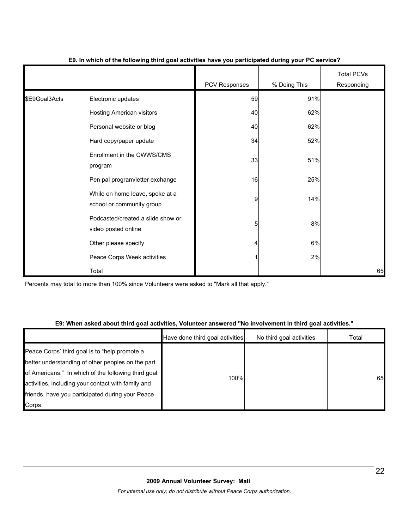|               |                                                              | PCV Responses  | % Doing This | <b>Total PCVs</b><br>Responding |
|---------------|--------------------------------------------------------------|----------------|--------------|---------------------------------|
| \$E9Goal3Acts | Electronic updates                                           | 59             | 91%          |                                 |
|               | Hosting American visitors                                    | 40             | 62%          |                                 |
|               | Personal website or blog                                     | 40             | 62%          |                                 |
|               | Hard copy/paper update                                       | 34             | 52%          |                                 |
|               | Enrollment in the CWWS/CMS<br>program                        | 33             | 51%          |                                 |
|               | Pen pal program/letter exchange                              | 16             | 25%          |                                 |
|               | While on home leave, spoke at a<br>school or community group | $\overline{9}$ | 14%          |                                 |
|               | Podcasted/created a slide show or<br>video posted online     | 5              | 8%           |                                 |
|               | Other please specify                                         | 4              | 6%           |                                 |
|               | Peace Corps Week activities                                  | 1              | 2%           |                                 |
|               | Total                                                        |                |              | 65                              |

#### **E9. In which of the following third goal activities have you participated during your PC service?**

Percents may total to more than 100% since Volunteers were asked to "Mark all that apply."

#### **E9: When asked about third goal activities, Volunteer answered "No involvement in third goal activities."**

|                                                                                                                                                                                                                                                                              | Have done third goal activities | No third goal activities | Total |
|------------------------------------------------------------------------------------------------------------------------------------------------------------------------------------------------------------------------------------------------------------------------------|---------------------------------|--------------------------|-------|
| Peace Corps' third goal is to "help promote a<br>better understanding of other peoples on the part<br>of Americans." In which of the following third goal<br>activities, including your contact with family and<br>friends, have you participated during your Peace<br>Corps | 100%                            |                          | 65    |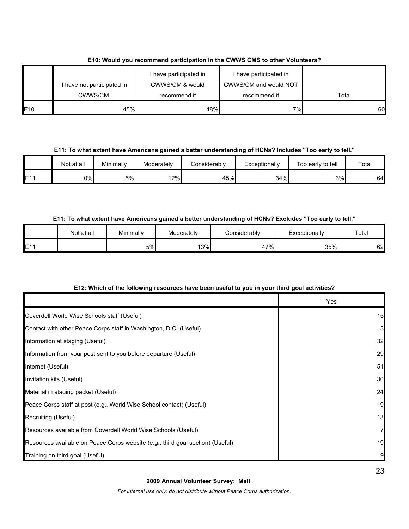|                 | I have not participated in | I have participated in<br>CWWS/CM & would | I have participated in<br>CWWS/CM and would NOT |       |
|-----------------|----------------------------|-------------------------------------------|-------------------------------------------------|-------|
|                 | CWWS/CM.                   | recommend it                              | recommend it                                    | Total |
| E <sub>10</sub> | 45%                        | 48%                                       | 7%                                              | 60    |

## **E10: Would you recommend participation in the CWWS CMS to other Volunteers?**

**E11: To what extent have Americans gained a better understanding of HCNs? Includes "Too early to tell."**

|                 | Not at all | Minimally | Moderately | Considerably | Exceptionally | Too early to tell | Total |
|-----------------|------------|-----------|------------|--------------|---------------|-------------------|-------|
| E <sub>11</sub> | 0%I        | 5%        | 12%        | 45%          | 34%           | 3%                | 64    |

## **E11: To what extent have Americans gained a better understanding of HCNs? Excludes "Too early to tell."**

|                 | Not at all | Minimally | Moderately | Considerably | Exceptionally | Total |
|-----------------|------------|-----------|------------|--------------|---------------|-------|
| E1 <sup>4</sup> |            | 5%        | 13%        | $7\%$<br>4,  | 35%           | 62    |

# **E12: Which of the following resources have been useful to you in your third goal activities?**

|                                                                                | Yes |
|--------------------------------------------------------------------------------|-----|
| Coverdell World Wise Schools staff (Useful)                                    | 15  |
| Contact with other Peace Corps staff in Washington, D.C. (Useful)              | 3   |
| Information at staging (Useful)                                                | 32  |
| Information from your post sent to you before departure (Useful)               | 29  |
| Internet (Useful)                                                              | 51  |
| Invitation kits (Useful)                                                       | 30  |
| Material in staging packet (Useful)                                            | 24  |
| Peace Corps staff at post (e.g., World Wise School contact) (Useful)           | 19  |
| Recruiting (Useful)                                                            | 13  |
| Resources available from Coverdell World Wise Schools (Useful)                 |     |
| Resources available on Peace Corps website (e.g., third goal section) (Useful) | 19  |
| Training on third goal (Useful)                                                |     |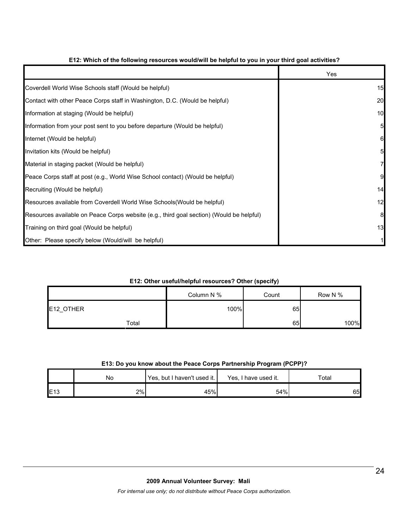|                                                                                          | Yes |
|------------------------------------------------------------------------------------------|-----|
| Coverdell World Wise Schools staff (Would be helpful)                                    | 15  |
| Contact with other Peace Corps staff in Washington, D.C. (Would be helpful)              | 20  |
| Information at staging (Would be helpful)                                                | 10  |
| Information from your post sent to you before departure (Would be helpful)               | 5   |
| Internet (Would be helpful)                                                              | 6   |
| Invitation kits (Would be helpful)                                                       | 5   |
| Material in staging packet (Would be helpful)                                            | 7   |
| Peace Corps staff at post (e.g., World Wise School contact) (Would be helpful)           | 9   |
| Recruiting (Would be helpful)                                                            | 14  |
| Resources available from Coverdell World Wise Schools (Would be helpful)                 | 12  |
| Resources available on Peace Corps website (e.g., third goal section) (Would be helpful) | 8   |
| Training on third goal (Would be helpful)                                                | 13  |
| Other: Please specify below (Would/will be helpful)                                      |     |

## **E12: Which of the following resources would/will be helpful to you in your third goal activities?**

#### **E12: Other useful/helpful resources? Other (specify)**

|           |            | . .<br>. . |         |
|-----------|------------|------------|---------|
|           | Column N % | Count      | Row N % |
| E12_OTHER | 100%       | 65         |         |
| Total     |            | 65         | 100%    |

## **E13: Do you know about the Peace Corps Partnership Program (PCPP)?**

|                 | No | Yes, but I haven't used it. | Yes, I have used it. | Total |
|-----------------|----|-----------------------------|----------------------|-------|
| E <sub>13</sub> | 2% | 45%                         | 54%                  | 65    |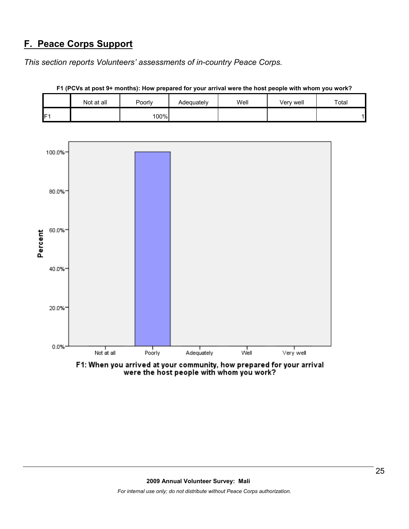# **F. Peace Corps Support**

*This section reports Volunteers' assessments of in-country Peace Corps.* 

|     | Not at all | Poorly | Adequately | Well | Very well | Total |
|-----|------------|--------|------------|------|-----------|-------|
| IF1 |            | 100%   |            |      |           |       |

**F1 (PCVs at post 9+ months): How prepared for your arrival were the host people with whom you work?**



F1: When you arrived at your community, how prepared for your arrival were the host people with whom you work?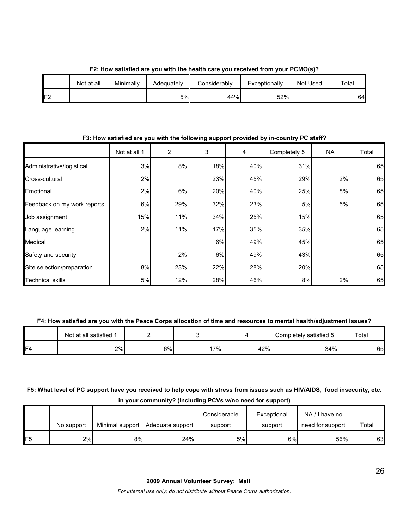|                 | Not at all | Minimally | Adeguatelv | Considerably | Exceptionally | Not Used | Total |
|-----------------|------------|-----------|------------|--------------|---------------|----------|-------|
| IF <sub>2</sub> |            |           | 5%         | 44%          | 52%           |          | 64    |

**F2: How satisfied are you with the health care you received from your PCMO(s)?**

#### **F3: How satisfied are you with the following support provided by in-country PC staff?**

|                             | Not at all 1 | $\overline{2}$ | 3   | 4   | Completely 5 | NA | Total |
|-----------------------------|--------------|----------------|-----|-----|--------------|----|-------|
| Administrative/logistical   | 3%           | 8%             | 18% | 40% | 31%          |    | 65    |
| Cross-cultural              | 2%           |                | 23% | 45% | 29%          | 2% | 65    |
| Emotional                   | 2%           | 6%             | 20% | 40% | 25%          | 8% | 65    |
| Feedback on my work reports | 6%           | 29%            | 32% | 23% | 5%           | 5% | 65    |
| Job assignment              | 15%          | 11%            | 34% | 25% | 15%          |    | 65    |
| Language learning           | 2%           | 11%            | 17% | 35% | 35%          |    | 65    |
| Medical                     |              |                | 6%  | 49% | 45%          |    | 65    |
| Safety and security         |              | 2%             | 6%  | 49% | 43%          |    | 65    |
| Site selection/preparation  | 8%           | 23%            | 22% | 28% | 20%          |    | 65    |
| <b>Technical skills</b>     | 5%           | 12%            | 28% | 46% | 8%           | 2% | 65    |

#### **F4: How satisfied are you with the Peace Corps allocation of time and resources to mental health/adjustment issues?**

|                | Not at all satisfied 1 |    |     |     | Completely satisfied 5 | Total |
|----------------|------------------------|----|-----|-----|------------------------|-------|
| F <sub>4</sub> | 2%                     | 6% | 17% | 42% | 34%                    | 65    |

# **F5: What level of PC support have you received to help cope with stress from issues such as HIV/AIDS, food insecurity, etc. in your community? (Including PCVs w/no need for support)**

|     | No support |    | Minimal support   Adequate support | Considerable<br>support | Exceptional<br>support | NA/I have no<br>need for support | Total |
|-----|------------|----|------------------------------------|-------------------------|------------------------|----------------------------------|-------|
| IF5 | 2%         | 8% | 24%                                | 5%                      | 6%                     | 56%                              | 63    |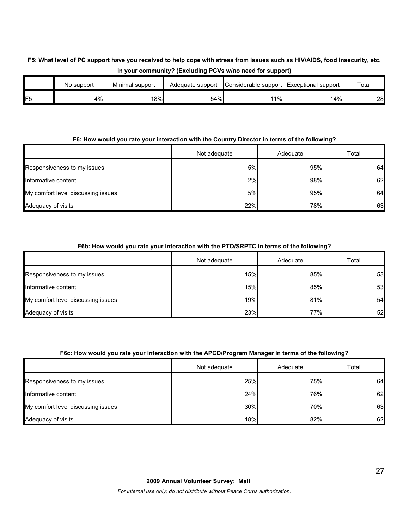# **F5: What level of PC support have you received to help cope with stress from issues such as HIV/AIDS, food insecurity, etc. in your community? (Excluding PCVs w/no need for support)**

|                 | No support | Minimal support | Adequate support | Considerable support Exceptional support |     | Total |
|-----------------|------------|-----------------|------------------|------------------------------------------|-----|-------|
| IF <sub>5</sub> | 4%l        | 18%             | 54%              | 1%                                       | 14% | 28    |

#### **F6: How would you rate your interaction with the Country Director in terms of the following?**

|                                    | Not adequate | Adequate | Total |
|------------------------------------|--------------|----------|-------|
| Responsiveness to my issues        | 5%           | 95%      | 64    |
| Informative content                | 2%           | 98%      | 62    |
| My comfort level discussing issues | 5%           | 95%      | 64    |
| Adequacy of visits                 | 22%          | 78%      | 63    |

## **F6b: How would you rate your interaction with the PTO/SRPTC in terms of the following?**

|                                    | Not adequate | Adequate | Total |
|------------------------------------|--------------|----------|-------|
| Responsiveness to my issues        | 15%          | 85%      | 53    |
| Informative content                | 15%          | 85%      | 53    |
| My comfort level discussing issues | 19%          | 81%      | 54    |
| Adequacy of visits                 | 23%          | 77%      | 52    |

#### **F6c: How would you rate your interaction with the APCD/Program Manager in terms of the following?**

|                                    | Not adequate | Adequate | Total |
|------------------------------------|--------------|----------|-------|
| Responsiveness to my issues        | 25%          | 75%      | 64    |
| Informative content                | 24%          | 76%      | 62    |
| My comfort level discussing issues | 30%          | 70%      | 63    |
| Adequacy of visits                 | 18%          | 82%      | 62    |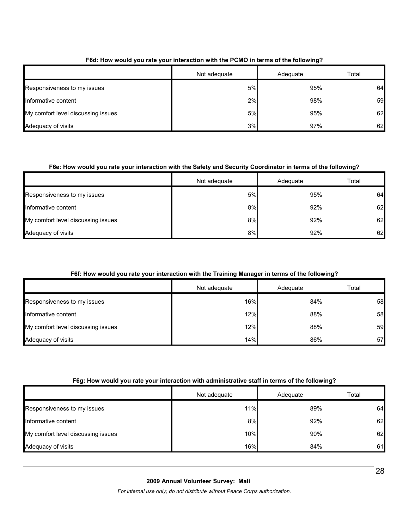|                                    | Not adequate | Adequate | Total |
|------------------------------------|--------------|----------|-------|
| Responsiveness to my issues        | 5%           | 95%      | 64    |
| Informative content                | 2%           | 98%      | 59    |
| My comfort level discussing issues | 5%           | 95%      | 62    |
| Adequacy of visits                 | 3%           | 97%      | 62    |

#### **F6d: How would you rate your interaction with the PCMO in terms of the following?**

## **F6e: How would you rate your interaction with the Safety and Security Coordinator in terms of the following?**

|                                    | Not adequate | Adequate | Total |
|------------------------------------|--------------|----------|-------|
| Responsiveness to my issues        | 5%           | 95%      | 64    |
| Informative content                | 8%           | 92%      | 62    |
| My comfort level discussing issues | 8%           | 92%      | 62    |
| Adequacy of visits                 | 8%           | 92%      | 62    |

#### **F6f: How would you rate your interaction with the Training Manager in terms of the following?**

|                                    | Not adequate | Adequate | Total |
|------------------------------------|--------------|----------|-------|
| Responsiveness to my issues        | 16%          | 84%      | 58    |
| Informative content                | 12%          | 88%      | 58    |
| My comfort level discussing issues | 12%          | 88%      | 59    |
| Adequacy of visits                 | 14%          | 86%      | 57    |

#### **F6g: How would you rate your interaction with administrative staff in terms of the following?**

|                                    | Not adequate | Adequate | Total |
|------------------------------------|--------------|----------|-------|
| Responsiveness to my issues        | 11%          | 89%      | 64    |
| Informative content                | 8%           | 92%      | 62    |
| My comfort level discussing issues | 10%          | 90%      | 62    |
| Adequacy of visits                 | 16%          | 84%      | 61    |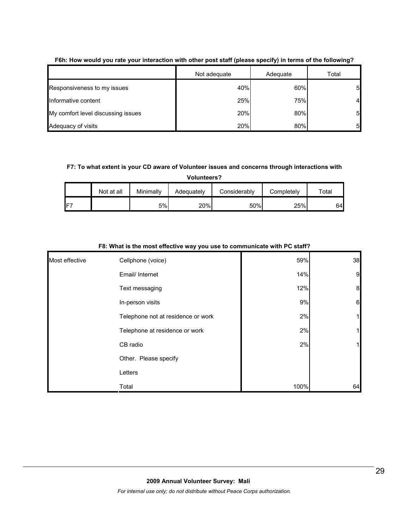|                                    | Not adequate | Adequate | Total |
|------------------------------------|--------------|----------|-------|
| Responsiveness to my issues        | 40%          | 60%      | 5     |
| Informative content                | 25%          | 75%      | 4     |
| My comfort level discussing issues | 20%          | 80%      | 5     |
| Adequacy of visits                 | 20%          | 80%      | 5     |

#### **F6h: How would you rate your interaction with other post staff (please specify) in terms of the following?**

#### **F7: To what extent is your CD aware of Volunteer issues and concerns through interactions with**

**Volunteers?**

|     | Not at all | Minimally | Adequately | Considerably | Completely | ™otal |
|-----|------------|-----------|------------|--------------|------------|-------|
| IF7 |            | 5%        | 20%        | 50%          | 25%        | 64    |

| Most effective | Cellphone (voice)                  | 59%  | 38 |
|----------------|------------------------------------|------|----|
|                | Email/ Internet                    | 14%  | 9  |
|                | Text messaging                     | 12%  | 8  |
|                | In-person visits                   | 9%   | 6  |
|                | Telephone not at residence or work | 2%   | 1  |
|                | Telephone at residence or work     | 2%   | 1  |
|                | CB radio                           | 2%   | 11 |
|                | Other. Please specify              |      |    |
|                | Letters                            |      |    |
|                | Total                              | 100% | 64 |

#### **F8: What is the most effective way you use to communicate with PC staff?**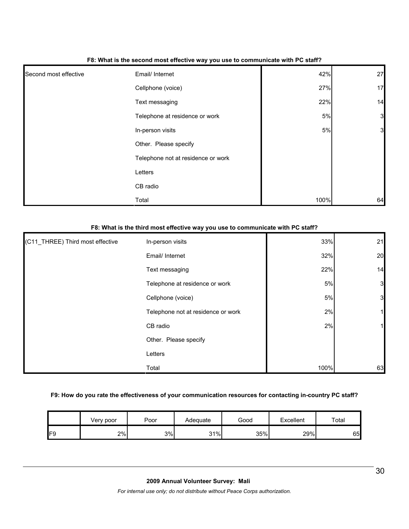| Second most effective | Email/ Internet                    | 42%   | 27             |
|-----------------------|------------------------------------|-------|----------------|
|                       | Cellphone (voice)                  | 27%   | 17             |
|                       | Text messaging                     | 22%   | 14             |
|                       | Telephone at residence or work     | $5\%$ | $\mathbf{3}$   |
|                       | In-person visits                   | $5\%$ | $\overline{3}$ |
|                       | Other. Please specify              |       |                |
|                       | Telephone not at residence or work |       |                |
|                       | Letters                            |       |                |
|                       | CB radio                           |       |                |
|                       | Total                              | 100%  | 64             |

#### **F8: What is the second most effective way you use to communicate with PC staff?**

| F8: What is the third most effective way you use to communicate with PC staff? |                                    |      |    |
|--------------------------------------------------------------------------------|------------------------------------|------|----|
| (C11_THREE) Third most effective                                               | In-person visits                   | 33%  | 21 |
|                                                                                | Email/ Internet                    | 32%  | 20 |
|                                                                                | Text messaging                     | 22%  | 14 |
|                                                                                | Telephone at residence or work     | 5%   | 3  |
|                                                                                | Cellphone (voice)                  | 5%   | 3  |
|                                                                                | Telephone not at residence or work | 2%   |    |
|                                                                                | CB radio                           | 2%   |    |
|                                                                                | Other. Please specify              |      |    |
|                                                                                | Letters                            |      |    |
|                                                                                | Total                              | 100% | 63 |

## **F9: How do you rate the effectiveness of your communication resources for contacting in-country PC staff?**

|     | Verv poor | Poor | Adequate | Good | Excellent | Total |
|-----|-----------|------|----------|------|-----------|-------|
| IF9 | 2%        | 3%   | 31%      | 35%  | 29%       | 65    |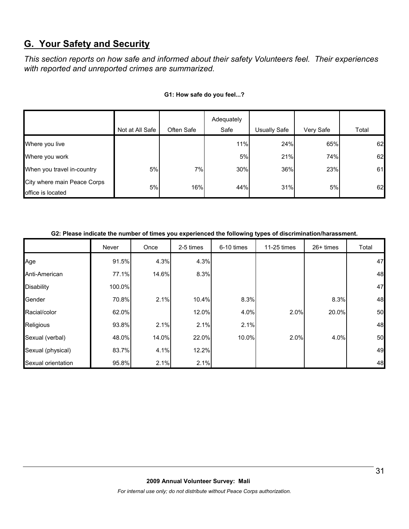# **G. Your Safety and Security**

*This section reports on how safe and informed about their safety Volunteers feel. Their experiences with reported and unreported crimes are summarized.* 

|                                                  | Not at All Safe | Often Safe | Adequately<br>Safe | Usually Safe | Very Safe | Total |
|--------------------------------------------------|-----------------|------------|--------------------|--------------|-----------|-------|
| Where you live                                   |                 |            | 11%                | 24%          | 65%       | 62    |
| Where you work                                   |                 |            | 5%                 | 21%          | 74%       | 62    |
| When you travel in-country                       | 5%              | 7%         | 30%                | 36%          | 23%       | 61    |
| City where main Peace Corps<br>office is located | 5%              | 16%        | 44%                | 31%          | 5%        | 62    |

#### **G1: How safe do you feel...?**

#### **G2: Please indicate the number of times you experienced the following types of discrimination/harassment.**

|                    | Never  | Once  | 2-5 times | 6-10 times | 11-25 times | $26+$ times | Total |
|--------------------|--------|-------|-----------|------------|-------------|-------------|-------|
| Age                | 91.5%  | 4.3%  | 4.3%      |            |             |             | 47    |
| Anti-American      | 77.1%  | 14.6% | 8.3%      |            |             |             | 48    |
| <b>Disability</b>  | 100.0% |       |           |            |             |             | 47    |
| Gender             | 70.8%  | 2.1%  | 10.4%     | 8.3%       |             | 8.3%        | 48    |
| Racial/color       | 62.0%  |       | 12.0%     | 4.0%       | 2.0%        | 20.0%       | 50    |
| Religious          | 93.8%  | 2.1%  | 2.1%      | 2.1%       |             |             | 48    |
| Sexual (verbal)    | 48.0%  | 14.0% | 22.0%     | 10.0%      | 2.0%        | 4.0%        | 50    |
| Sexual (physical)  | 83.7%  | 4.1%  | 12.2%     |            |             |             | 49    |
| Sexual orientation | 95.8%  | 2.1%  | 2.1%      |            |             |             | 48    |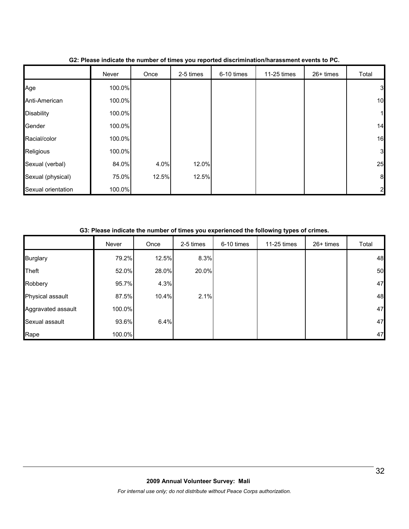|                    | Never  | Once  | 2-5 times | 6-10 times | 11-25 times | 26+ times | Total            |
|--------------------|--------|-------|-----------|------------|-------------|-----------|------------------|
| Age                | 100.0% |       |           |            |             |           | $\mathbf{3}$     |
| Anti-American      | 100.0% |       |           |            |             |           | 10               |
| <b>Disability</b>  | 100.0% |       |           |            |             |           | $\mathbf{1}$     |
| Gender             | 100.0% |       |           |            |             |           | 14               |
| Racial/color       | 100.0% |       |           |            |             |           | 16               |
| Religious          | 100.0% |       |           |            |             |           | $\mathbf{3}$     |
| Sexual (verbal)    | 84.0%  | 4.0%  | 12.0%     |            |             |           | 25               |
| Sexual (physical)  | 75.0%  | 12.5% | 12.5%     |            |             |           | $\boldsymbol{8}$ |
| Sexual orientation | 100.0% |       |           |            |             |           | $\overline{2}$   |

#### **G2: Please indicate the number of times you reported discrimination/harassment events to PC.**

#### **G3: Please indicate the number of times you experienced the following types of crimes.**

|                    | Never  | Once  | 2-5 times | 6-10 times | 11-25 times | 26+ times | Total |
|--------------------|--------|-------|-----------|------------|-------------|-----------|-------|
| <b>Burglary</b>    | 79.2%  | 12.5% | 8.3%      |            |             |           | 48    |
| <b>Theft</b>       | 52.0%  | 28.0% | 20.0%     |            |             |           | 50    |
| Robbery            | 95.7%  | 4.3%  |           |            |             |           | 47    |
| Physical assault   | 87.5%  | 10.4% | 2.1%      |            |             |           | 48    |
| Aggravated assault | 100.0% |       |           |            |             |           | 47    |
| Sexual assault     | 93.6%  | 6.4%  |           |            |             |           | 47    |
| Rape               | 100.0% |       |           |            |             |           | 47    |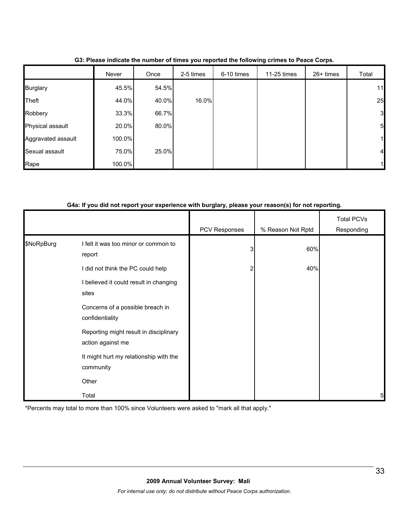|                    | Never  | Once  | 2-5 times | 6-10 times | 11-25 times | 26+ times | Total        |
|--------------------|--------|-------|-----------|------------|-------------|-----------|--------------|
| <b>Burglary</b>    | 45.5%  | 54.5% |           |            |             |           | 11           |
| Theft              | 44.0%  | 40.0% | 16.0%     |            |             |           | 25           |
| Robbery            | 33.3%  | 66.7% |           |            |             |           | $\mathbf{3}$ |
| Physical assault   | 20.0%  | 80.0% |           |            |             |           | 5            |
| Aggravated assault | 100.0% |       |           |            |             |           |              |
| Sexual assault     | 75.0%  | 25.0% |           |            |             |           | 4            |
| Rape               | 100.0% |       |           |            |             |           |              |

**G3: Please indicate the number of times you reported the following crimes to Peace Corps.**

#### **G4a: If you did not report your experience with burglary, please your reason(s) for not reporting.**

|            |                                                             | PCV Responses | % Reason Not Rptd | Total PCVs<br>Responding |
|------------|-------------------------------------------------------------|---------------|-------------------|--------------------------|
| \$NoRpBurg | I felt it was too minor or common to<br>report              | 3             | 60%               |                          |
|            | I did not think the PC could help                           |               | 40%               |                          |
|            | I believed it could result in changing<br>sites             |               |                   |                          |
|            | Concerns of a possible breach in<br>confidentiality         |               |                   |                          |
|            | Reporting might result in disciplinary<br>action against me |               |                   |                          |
|            | It might hurt my relationship with the<br>community         |               |                   |                          |
|            | Other                                                       |               |                   |                          |
|            | Total                                                       |               |                   | 5                        |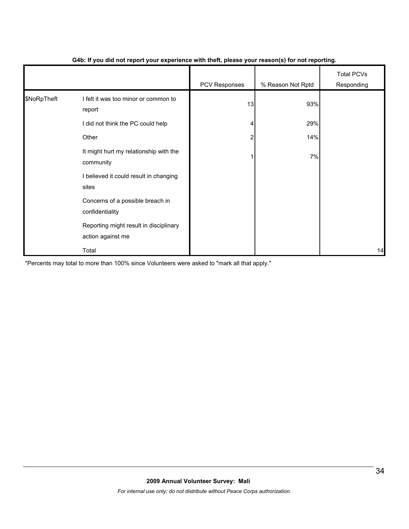|             |                                                             | - 1           | $\mathbf{v}$      |                                 |
|-------------|-------------------------------------------------------------|---------------|-------------------|---------------------------------|
|             |                                                             | PCV Responses | % Reason Not Rptd | <b>Total PCVs</b><br>Responding |
| \$NoRpTheft | I felt it was too minor or common to<br>report              | 13            | 93%               |                                 |
|             | I did not think the PC could help                           |               | 29%               |                                 |
|             | Other                                                       | 2             | 14%               |                                 |
|             | It might hurt my relationship with the<br>community         |               | 7%                |                                 |
|             | I believed it could result in changing<br>sites             |               |                   |                                 |
|             | Concerns of a possible breach in<br>confidentiality         |               |                   |                                 |
|             | Reporting might result in disciplinary<br>action against me |               |                   |                                 |
|             | Total                                                       |               |                   | 14                              |

#### **G4b: If you did not report your experience with theft, please your reason(s) for not reporting.**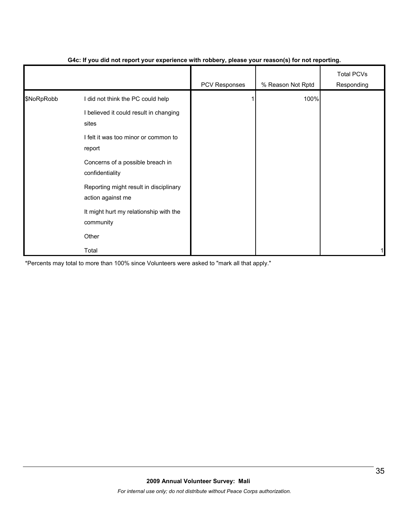|            |                                                             | PCV Responses | % Reason Not Rptd | <b>Total PCVs</b><br>Responding |
|------------|-------------------------------------------------------------|---------------|-------------------|---------------------------------|
| \$NoRpRobb | I did not think the PC could help                           |               | 100%              |                                 |
|            | I believed it could result in changing<br>sites             |               |                   |                                 |
|            | I felt it was too minor or common to<br>report              |               |                   |                                 |
|            | Concerns of a possible breach in<br>confidentiality         |               |                   |                                 |
|            | Reporting might result in disciplinary<br>action against me |               |                   |                                 |
|            | It might hurt my relationship with the<br>community         |               |                   |                                 |
|            | Other                                                       |               |                   |                                 |
|            | Total                                                       |               |                   |                                 |

#### **G4c: If you did not report your experience with robbery, please your reason(s) for not reporting.**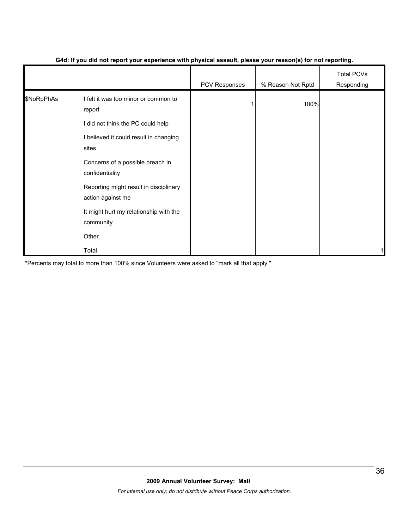|            |                                                             | - 1           | $\mathbf{v}$      |                                 |
|------------|-------------------------------------------------------------|---------------|-------------------|---------------------------------|
|            |                                                             | PCV Responses | % Reason Not Rptd | <b>Total PCVs</b><br>Responding |
| \$NoRpPhAs | I felt it was too minor or common to<br>report              |               | 100%              |                                 |
|            | I did not think the PC could help                           |               |                   |                                 |
|            | I believed it could result in changing<br>sites             |               |                   |                                 |
|            | Concerns of a possible breach in<br>confidentiality         |               |                   |                                 |
|            | Reporting might result in disciplinary<br>action against me |               |                   |                                 |
|            | It might hurt my relationship with the<br>community         |               |                   |                                 |
|            | Other                                                       |               |                   |                                 |
|            | Total                                                       |               |                   | 1                               |

#### **G4d: If you did not report your experience with physical assault, please your reason(s) for not reporting.**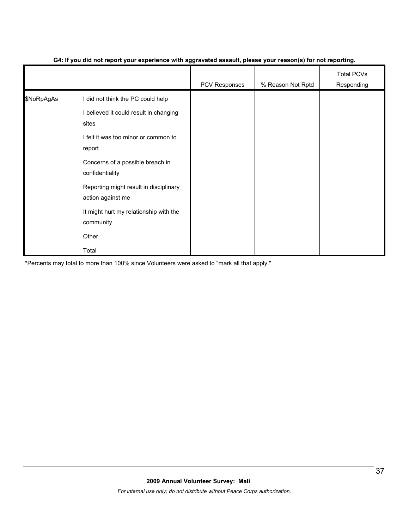|            |                                                             | ັັ<br>- -     | $\mathbf{v}$      |                                 |
|------------|-------------------------------------------------------------|---------------|-------------------|---------------------------------|
|            |                                                             | PCV Responses | % Reason Not Rptd | <b>Total PCVs</b><br>Responding |
| \$NoRpAgAs | I did not think the PC could help                           |               |                   |                                 |
|            | I believed it could result in changing<br>sites             |               |                   |                                 |
|            | I felt it was too minor or common to<br>report              |               |                   |                                 |
|            | Concerns of a possible breach in<br>confidentiality         |               |                   |                                 |
|            | Reporting might result in disciplinary<br>action against me |               |                   |                                 |
|            | It might hurt my relationship with the<br>community         |               |                   |                                 |
|            | Other                                                       |               |                   |                                 |
|            | Total                                                       |               |                   |                                 |

#### **G4: If you did not report your experience with aggravated assault, please your reason(s) for not reporting.**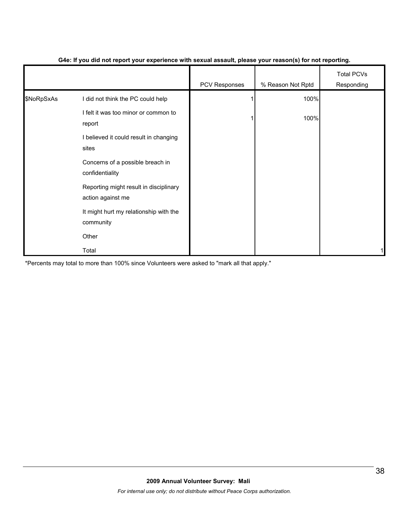|            |                                                             | PCV Responses | % Reason Not Rptd | <b>Total PCVs</b><br>Responding |
|------------|-------------------------------------------------------------|---------------|-------------------|---------------------------------|
| \$NoRpSxAs | I did not think the PC could help                           |               | 100%              |                                 |
|            | I felt it was too minor or common to<br>report              |               | 100%              |                                 |
|            | I believed it could result in changing<br>sites             |               |                   |                                 |
|            | Concerns of a possible breach in<br>confidentiality         |               |                   |                                 |
|            | Reporting might result in disciplinary<br>action against me |               |                   |                                 |
|            | It might hurt my relationship with the<br>community         |               |                   |                                 |
|            | Other                                                       |               |                   |                                 |
|            | Total                                                       |               |                   | 1                               |

#### **G4e: If you did not report your experience with sexual assault, please your reason(s) for not reporting.**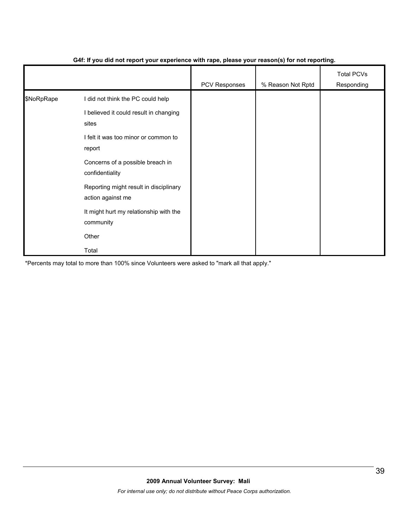|            |                                                             | .             | $\mathbf{v}$      |                                 |
|------------|-------------------------------------------------------------|---------------|-------------------|---------------------------------|
|            |                                                             | PCV Responses | % Reason Not Rptd | <b>Total PCVs</b><br>Responding |
| \$NoRpRape | I did not think the PC could help                           |               |                   |                                 |
|            | I believed it could result in changing<br>sites             |               |                   |                                 |
|            | I felt it was too minor or common to<br>report              |               |                   |                                 |
|            | Concerns of a possible breach in<br>confidentiality         |               |                   |                                 |
|            | Reporting might result in disciplinary<br>action against me |               |                   |                                 |
|            | It might hurt my relationship with the<br>community         |               |                   |                                 |
|            | Other                                                       |               |                   |                                 |
|            | Total                                                       |               |                   |                                 |

#### **G4f: If you did not report your experience with rape, please your reason(s) for not reporting.**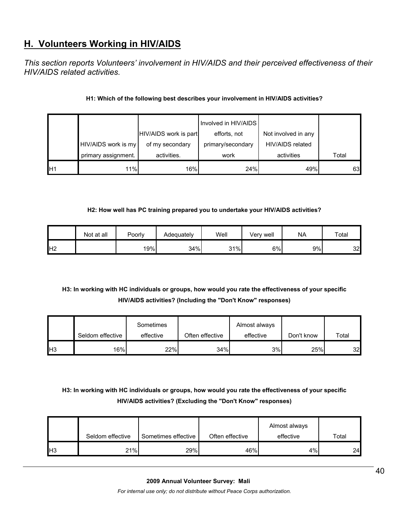# **H. Volunteers Working in HIV/AIDS**

*This section reports Volunteers' involvement in HIV/AIDS and their perceived effectiveness of their HIV/AIDS related activities.* 

## **H1: Which of the following best describes your involvement in HIV/AIDS activities?**

|    |                     |                       | Involved in HIV/AIDS |                     |       |
|----|---------------------|-----------------------|----------------------|---------------------|-------|
|    |                     | HIV/AIDS work is part | efforts, not         | Not involved in any |       |
|    | HIV/AIDS work is my | of my secondary       | primary/secondary    | HIV/AIDS related    |       |
|    | primary assignment. | activities.           | work                 | activities          | Total |
| H1 | 11%                 | 16%                   | 24%                  | 49%                 | 63    |

#### **H2: How well has PC training prepared you to undertake your HIV/AIDS activities?**

|                | Not at all | Poorly | Adequately | Well | Verv well | <b>NA</b> | Total |
|----------------|------------|--------|------------|------|-----------|-----------|-------|
| H <sub>2</sub> |            | 19%    | 34%        | 31%  | 6%        | 9%        | 32    |

# **H3: In working with HC individuals or groups, how would you rate the effectiveness of your specific HIV/AIDS activities? (Including the "Don't Know" responses)**

|     |                  | Sometimes |                 | Almost always |            |       |
|-----|------------------|-----------|-----------------|---------------|------------|-------|
|     | Seldom effective | effective | Often effective | effective     | Don't know | Total |
| IH3 | 16%              | 22%       | 34%             | 3%            | 25%        | 32    |

# **H3: In working with HC individuals or groups, how would you rate the effectiveness of your specific HIV/AIDS activities? (Excluding the "Don't Know" responses)**

|     |                  |                     |                 | Almost always |       |
|-----|------------------|---------------------|-----------------|---------------|-------|
|     | Seldom effective | Sometimes effective | Often effective | effective     | Total |
| IH3 | 21%              | 29%                 | 46%             | 4%            | 24    |

#### **2009 Annual Volunteer Survey: Mali**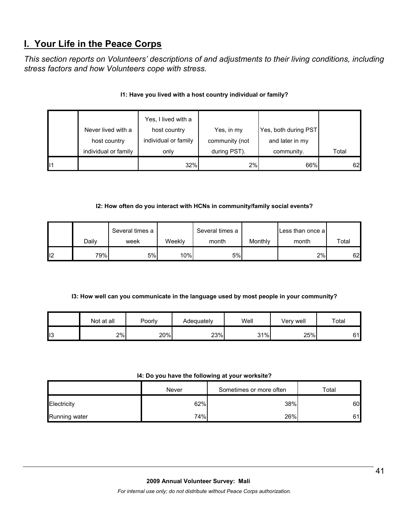# **I. Your Life in the Peace Corps**

*This section reports on Volunteers' descriptions of and adjustments to their living conditions, including stress factors and how Volunteers cope with stress.* 

|    |                                    | Yes, I lived with a                  |                              |                                         |       |
|----|------------------------------------|--------------------------------------|------------------------------|-----------------------------------------|-------|
|    | Never lived with a<br>host country | host country<br>individual or family | Yes, in my<br>community (not | Yes, both during PST<br>and later in my |       |
|    | individual or family               | only                                 | during PST).                 | community.                              | Total |
| 11 |                                    | 32%                                  | 2%                           | 66%                                     | 62    |

#### **I1: Have you lived with a host country individual or family?**

#### **I2: How often do you interact with HCNs in community/family social events?**

|    |       | Several times a |        | Several times a |         | Less than once a |       |
|----|-------|-----------------|--------|-----------------|---------|------------------|-------|
|    | Dailv | week            | Weeklv | month           | Monthly | month            | Total |
| 12 | 79%   | 5%              | 10%    | 5%              |         | 2%               | 62    |

#### **I3: How well can you communicate in the language used by most people in your community?**

|                 | Not at all | Poorly | Adequately | Well | Very well | Total |
|-----------------|------------|--------|------------|------|-----------|-------|
| $\mathbf{II}$ 3 | 2%         | 20%    | 23%        | 31%  | 25%       | 61    |

#### **I4: Do you have the following at your worksite?**

|               | Never | Sometimes or more often | Total |
|---------------|-------|-------------------------|-------|
| Electricity   | 62%   | 38%                     | 60    |
| Running water | 74%   | 26%                     | 61    |

#### **2009 Annual Volunteer Survey: Mali**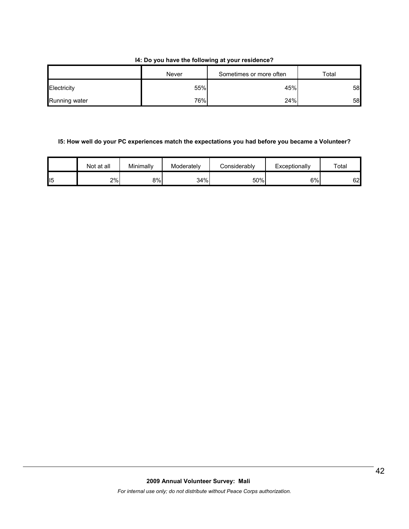#### **I4: Do you have the following at your residence?**

|               | Never | Sometimes or more often | Total |
|---------------|-------|-------------------------|-------|
| Electricity   | 55%   | 45%                     | 58    |
| Running water | 76%   | 24%                     | 58    |

## **I5: How well do your PC experiences match the expectations you had before you became a Volunteer?**

|    | Not at all | Minimally | Moderately | Considerablv | Exceptionally | $\tau$ otal |
|----|------------|-----------|------------|--------------|---------------|-------------|
| 15 | 2%         | 8%        | 34%        | 50%          | 6%            | 62          |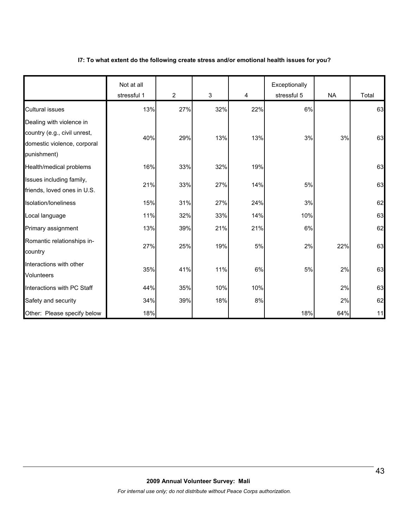#### **I7: To what extent do the following create stress and/or emotional health issues for you?**

|                                                                                                        | Not at all<br>stressful 1 | 2   | 3   | $\overline{4}$ | Exceptionally<br>stressful 5 | <b>NA</b> | Total |
|--------------------------------------------------------------------------------------------------------|---------------------------|-----|-----|----------------|------------------------------|-----------|-------|
| <b>Cultural issues</b>                                                                                 | 13%                       | 27% | 32% | 22%            | 6%                           |           | 63    |
| Dealing with violence in<br>country (e.g., civil unrest,<br>domestic violence, corporal<br>punishment) | 40%                       | 29% | 13% | 13%            | 3%                           | 3%        | 63    |
| Health/medical problems                                                                                | 16%                       | 33% | 32% | 19%            |                              |           | 63    |
| Issues including family,<br>friends, loved ones in U.S.                                                | 21%                       | 33% | 27% | 14%            | 5%                           |           | 63    |
| Isolation/loneliness                                                                                   | 15%                       | 31% | 27% | 24%            | 3%                           |           | 62    |
| Local language                                                                                         | 11%                       | 32% | 33% | 14%            | 10%                          |           | 63    |
| Primary assignment                                                                                     | 13%                       | 39% | 21% | 21%            | 6%                           |           | 62    |
| Romantic relationships in-<br>country                                                                  | 27%                       | 25% | 19% | 5%             | 2%                           | 22%       | 63    |
| Interactions with other<br><b>Volunteers</b>                                                           | 35%                       | 41% | 11% | 6%             | 5%                           | 2%        | 63    |
| Interactions with PC Staff                                                                             | 44%                       | 35% | 10% | 10%            |                              | 2%        | 63    |
| Safety and security                                                                                    | 34%                       | 39% | 18% | $8\%$          |                              | 2%        | 62    |
| Other: Please specify below                                                                            | 18%                       |     |     |                | 18%                          | 64%       | 11    |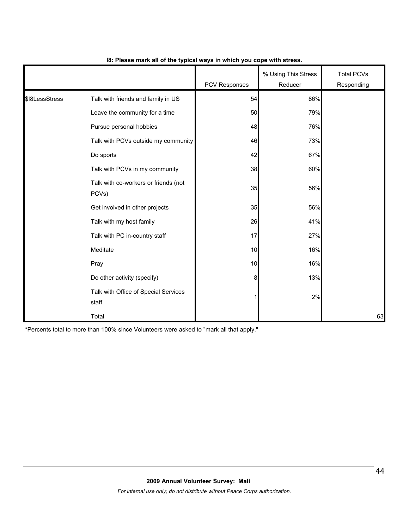|                |                                               | <b>PCV Responses</b> | % Using This Stress<br>Reducer | <b>Total PCVs</b><br>Responding |
|----------------|-----------------------------------------------|----------------------|--------------------------------|---------------------------------|
| \$18LessStress | Talk with friends and family in US            | 54                   | 86%                            |                                 |
|                | Leave the community for a time                | 50                   | 79%                            |                                 |
|                | Pursue personal hobbies                       | 48                   | 76%                            |                                 |
|                | Talk with PCVs outside my community           | 46                   | 73%                            |                                 |
|                | Do sports                                     | 42                   | 67%                            |                                 |
|                | Talk with PCVs in my community                | 38                   | 60%                            |                                 |
|                | Talk with co-workers or friends (not<br>PCVs) | 35                   | 56%                            |                                 |
|                | Get involved in other projects                | 35                   | 56%                            |                                 |
|                | Talk with my host family                      | 26                   | 41%                            |                                 |
|                | Talk with PC in-country staff                 | 17                   | 27%                            |                                 |
|                | Meditate                                      | 10                   | 16%                            |                                 |
|                | Pray                                          | 10                   | 16%                            |                                 |
|                | Do other activity (specify)                   | 8                    | 13%                            |                                 |
|                | Talk with Office of Special Services<br>staff | 1                    | 2%                             |                                 |
|                | Total                                         |                      |                                | 63                              |

#### **I8: Please mark all of the typical ways in which you cope with stress.**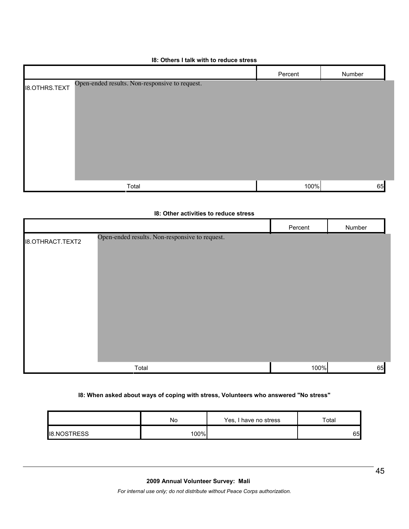#### **I8: Others I talk with to reduce stress**

|                      |                                                | Percent | Number |
|----------------------|------------------------------------------------|---------|--------|
| <b>I8.OTHRS.TEXT</b> | Open-ended results. Non-responsive to request. |         |        |
|                      | Total                                          | 100%    | 65     |

|                         | 18: Other activities to reduce stress          |         |        |
|-------------------------|------------------------------------------------|---------|--------|
|                         |                                                | Percent | Number |
| <b>I8.OTHRACT.TEXT2</b> | Open-ended results. Non-responsive to request. |         |        |
|                         | Total                                          | 100%    | 65     |

#### **I8: When asked about ways of coping with stress, Volunteers who answered "No stress"**

|                    | No   | Yes, I have no stress | Total |
|--------------------|------|-----------------------|-------|
| <b>IB.NOSTRESS</b> | 100% |                       | 65    |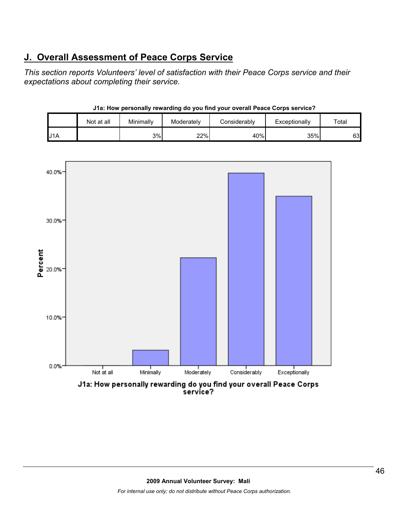# **J. Overall Assessment of Peace Corps Service**

*This section reports Volunteers' level of satisfaction with their Peace Corps service and their expectations about completing their service.* 

| $\sim$ |            |           |            |              |               |       |  |
|--------|------------|-----------|------------|--------------|---------------|-------|--|
|        | Not at all | Minimally | Moderately | Considerably | Exceptionally | Total |  |
| J1A    |            | 3%        | 22%        | 40%          | 35%           | 63    |  |



# **J1a: How personally rewarding do you find your overall Peace Corps service?**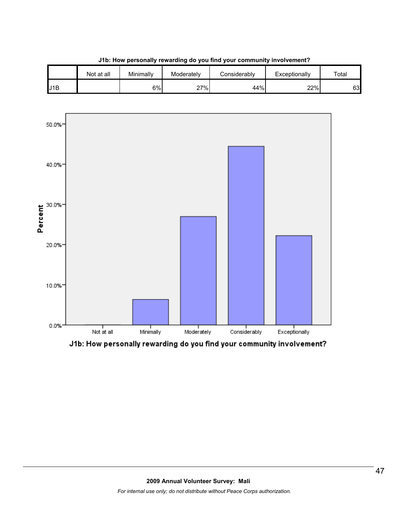



J1b: How personally rewarding do you find your community involvement?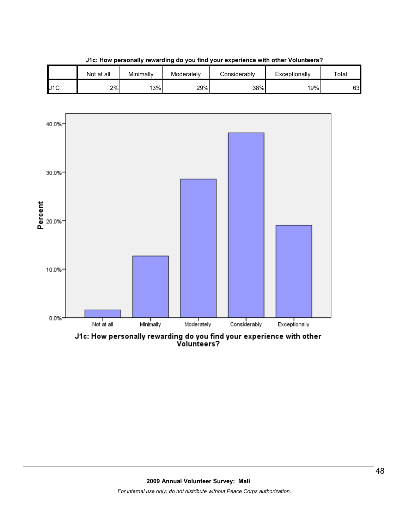





J1c: How personally rewarding do you find your experience with other<br>Volunteers?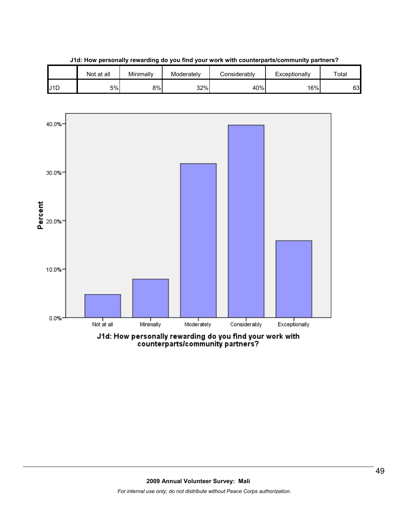



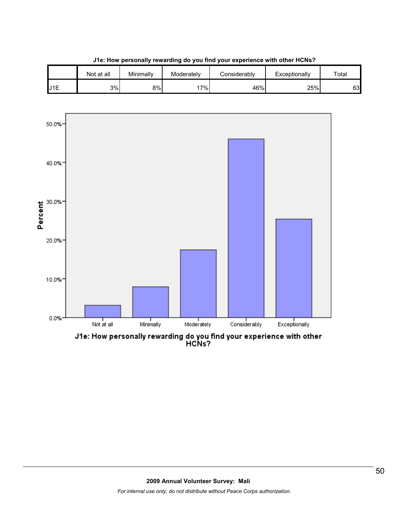





J1e: How personally rewarding do you find your experience with other<br>HCNs?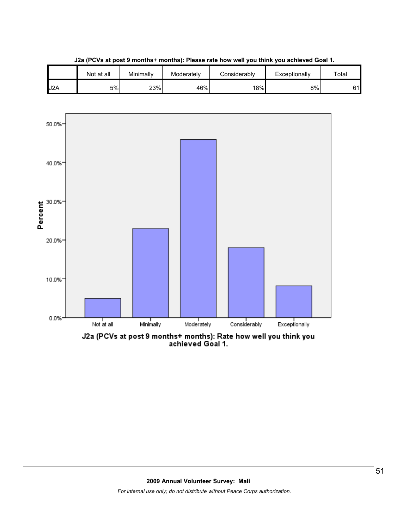

**J2a (PCVs at post 9 months+ months): Please rate how well you think you achieved Goal 1.**



J2a (PCVs at post 9 months+ months): Rate how well you think you<br>achieved Goal 1.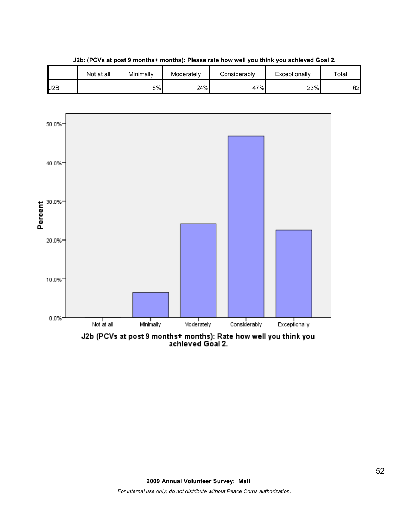

**J2b: (PCVs at post 9 months+ months): Please rate how well you think you achieved Goal 2.**

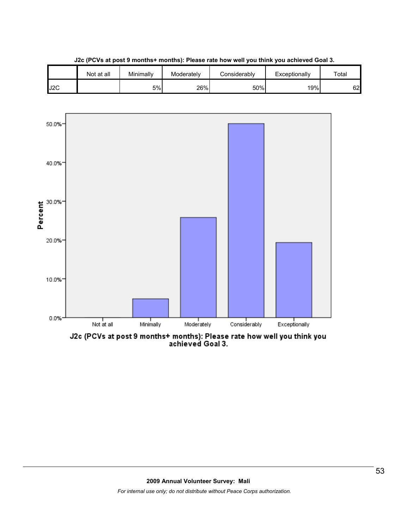

**J2c (PCVs at post 9 months+ months): Please rate how well you think you achieved Goal 3.**

J2c (PCVs at post 9 months+ months): Please rate how well you think you<br>achieved Goal 3.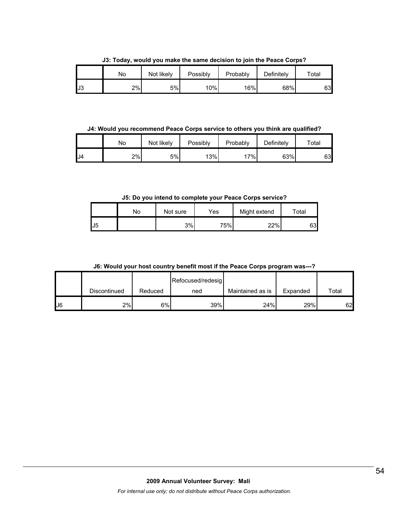**J3: Today, would you make the same decision to join the Peace Corps?**

|     | No | Not likelv | Possibly | Probably | Definitely | Total |
|-----|----|------------|----------|----------|------------|-------|
| IJ3 | 2% | 5%         | 10%      | 16%      | 68%        | 63    |

**J4: Would you recommend Peace Corps service to others you think are qualified?**

|     | No | Not likely | Possibly | Probably | Definitely | ™ota⊩ |
|-----|----|------------|----------|----------|------------|-------|
| .J4 | 2% | 5%         | 13%      | 7%       | 63%        | 63    |

**J5: Do you intend to complete your Peace Corps service?**

|     | Nο | Not sure | Yes | Might extend | Total |
|-----|----|----------|-----|--------------|-------|
| IJ5 |    | 3%       | 75% | 22%          | 631   |

**J6: Would your host country benefit most if the Peace Corps program was---?**

|               |              |         | Refocused/redesig |                  |          |       |
|---------------|--------------|---------|-------------------|------------------|----------|-------|
|               | Discontinued | Reduced | ned               | Maintained as is | Expanded | Total |
| $\mathsf{U}6$ | 2%           | 6%      | 39%               | 24%              | 29%      | 62    |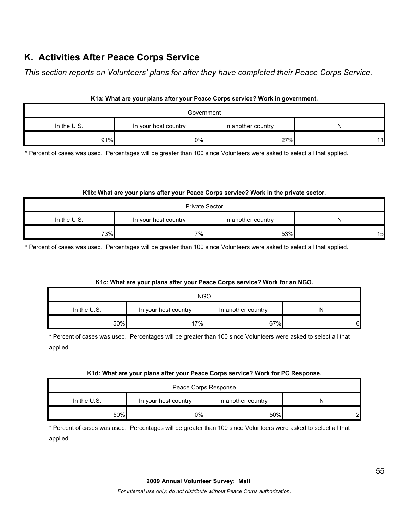# **K. Activities After Peace Corps Service**

*This section reports on Volunteers' plans for after they have completed their Peace Corps Service.* 

| K1a: What are your plans after your Peace Corps service? Work in government. |
|------------------------------------------------------------------------------|
|                                                                              |

| Government  |                      |                    |    |  |  |
|-------------|----------------------|--------------------|----|--|--|
| In the U.S. | In your host country | In another country |    |  |  |
| 91%         | 0%                   | 27%                | 11 |  |  |

\* Percent of cases was used. Percentages will be greater than 100 since Volunteers were asked to select all that applied.

#### **K1b: What are your plans after your Peace Corps service? Work in the private sector.**

| <b>Private Sector</b> |                      |                    |    |  |  |
|-----------------------|----------------------|--------------------|----|--|--|
| In the $U.S.$         | In your host country | In another country | N  |  |  |
| 73%                   | 7%                   | 53%                | 15 |  |  |

\* Percent of cases was used. Percentages will be greater than 100 since Volunteers were asked to select all that applied.

#### **K1c: What are your plans after your Peace Corps service? Work for an NGO.**

| <b>NGO</b>  |                      |                    |   |  |
|-------------|----------------------|--------------------|---|--|
| In the U.S. | In your host country | In another country | N |  |
| 50%         | 17%                  | 67%                | 6 |  |

\* Percent of cases was used. Percentages will be greater than 100 since Volunteers were asked to select all that applied.

#### **K1d: What are your plans after your Peace Corps service? Work for PC Response.**

| Peace Corps Response |                                            |     |   |  |
|----------------------|--------------------------------------------|-----|---|--|
| In the U.S.          | In your host country<br>In another country |     |   |  |
| 50%                  | 0%l                                        | 50% | റ |  |

\* Percent of cases was used. Percentages will be greater than 100 since Volunteers were asked to select all that applied.

#### **2009 Annual Volunteer Survey: Mali**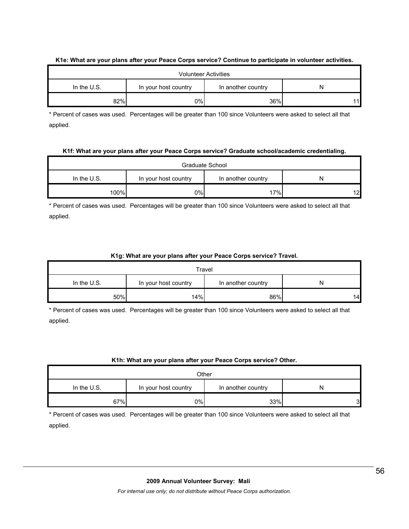#### **K1e: What are your plans after your Peace Corps service? Continue to participate in volunteer activities.**

| <b>Volunteer Activities</b>                                    |     |     |  |  |
|----------------------------------------------------------------|-----|-----|--|--|
| In the U.S.<br>In another country<br>In your host country<br>N |     |     |  |  |
| 82%                                                            | 0%l | 36% |  |  |

\* Percent of cases was used. Percentages will be greater than 100 since Volunteers were asked to select all that applied.

#### **K1f: What are your plans after your Peace Corps service? Graduate school/academic credentialing.**

| Graduate School |                                                 |     |    |  |
|-----------------|-------------------------------------------------|-----|----|--|
| In the $U.S.$   | In another country<br>In your host country<br>N |     |    |  |
| 100%            | 0%l                                             | 17% | 12 |  |

\* Percent of cases was used. Percentages will be greater than 100 since Volunteers were asked to select all that applied.

#### **K1g: What are your plans after your Peace Corps service? Travel.**

| Travel        |                                                 |     |    |  |
|---------------|-------------------------------------------------|-----|----|--|
| In the $U.S.$ | In another country<br>In your host country<br>N |     |    |  |
| 50%           | 14%                                             | 86% | 14 |  |

\* Percent of cases was used. Percentages will be greater than 100 since Volunteers were asked to select all that applied.

#### **K1h: What are your plans after your Peace Corps service? Other.**

| Other                                                            |     |     |    |  |
|------------------------------------------------------------------|-----|-----|----|--|
| In the $U.S.$<br>In your host country<br>In another country<br>N |     |     |    |  |
| 67%                                                              | 0%l | 33% | З. |  |

\* Percent of cases was used. Percentages will be greater than 100 since Volunteers were asked to select all that applied.

#### **2009 Annual Volunteer Survey: Mali**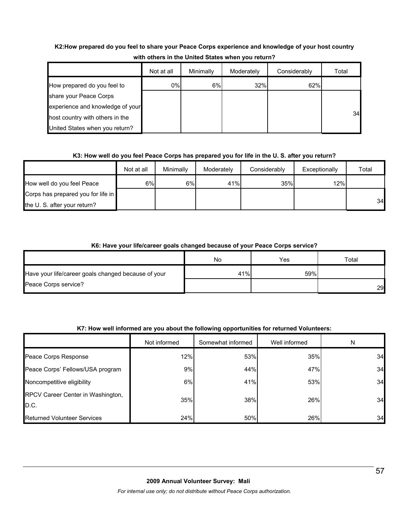# **K2:How prepared do you feel to share your Peace Corps experience and knowledge of your host country with others in the United States when you return?**

|                                  | Not at all | Minimally | Moderately | Considerably | Total |
|----------------------------------|------------|-----------|------------|--------------|-------|
| How prepared do you feel to      | $0\%$      | 6%        | 32%        | 62%          |       |
| share your Peace Corps           |            |           |            |              |       |
| experience and knowledge of your |            |           |            |              |       |
| host country with others in the  |            |           |            |              | 34    |
| United States when you return?   |            |           |            |              |       |

## **K3: How well do you feel Peace Corps has prepared you for life in the U. S. after you return?**

|                                    | Not at all | Minimally | Moderately | Considerably | Exceptionally | Total |
|------------------------------------|------------|-----------|------------|--------------|---------------|-------|
| How well do you feel Peace         | 6%         | 6%        | 41%        | 35%          | 12%           |       |
| Corps has prepared you for life in |            |           |            |              |               |       |
| the U. S. after your return?       |            |           |            |              |               | 34    |

## **K6: Have your life/career goals changed because of your Peace Corps service?**

|                                                     | No  | Yes | $\tau$ otal |
|-----------------------------------------------------|-----|-----|-------------|
| Have your life/career goals changed because of your | 41% | 59% |             |
| Peace Corps service?                                |     |     | 29          |

# **K7: How well informed are you about the following opportunities for returned Volunteers:**

|                                           | Not informed | Somewhat informed | Well informed | N  |
|-------------------------------------------|--------------|-------------------|---------------|----|
| Peace Corps Response                      | 12%          | 53%               | 35%           | 34 |
| Peace Corps' Fellows/USA program          | 9%           | 44%               | 47%           | 34 |
| Noncompetitive eligibility                | 6%           | 41%               | 53%           | 34 |
| RPCV Career Center in Washington,<br>D.C. | 35%          | 38%               | 26%           | 34 |
| <b>Returned Volunteer Services</b>        | 24%          | 50%               | 26%           | 34 |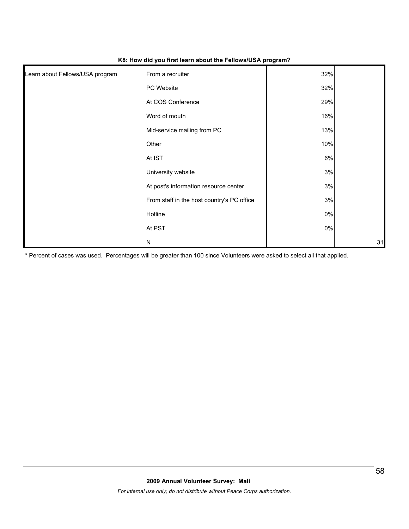| Learn about Fellows/USA program | From a recruiter                           | 32%   |    |
|---------------------------------|--------------------------------------------|-------|----|
|                                 | PC Website                                 | 32%   |    |
|                                 | At COS Conference                          | 29%   |    |
|                                 | Word of mouth                              | 16%   |    |
|                                 | Mid-service mailing from PC                | 13%   |    |
|                                 | Other                                      | 10%   |    |
|                                 | At IST                                     | 6%    |    |
|                                 | University website                         | 3%    |    |
|                                 | At post's information resource center      | 3%    |    |
|                                 | From staff in the host country's PC office | 3%    |    |
|                                 | Hotline                                    | $0\%$ |    |
|                                 | At PST                                     | $0\%$ |    |
|                                 | N                                          |       | 31 |

#### **K8: How did you first learn about the Fellows/USA program?**

\* Percent of cases was used. Percentages will be greater than 100 since Volunteers were asked to select all that applied.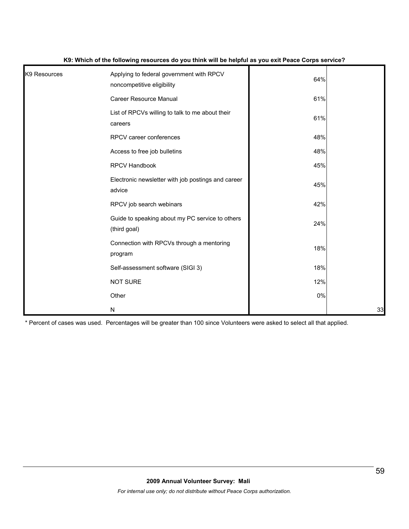| K9 Resources | Applying to federal government with RPCV<br>noncompetitive eligibility | 64%   |    |
|--------------|------------------------------------------------------------------------|-------|----|
|              | Career Resource Manual                                                 | 61%   |    |
|              | List of RPCVs willing to talk to me about their<br>careers             | 61%   |    |
|              | RPCV career conferences                                                | 48%   |    |
|              | Access to free job bulletins                                           | 48%   |    |
|              | <b>RPCV Handbook</b>                                                   | 45%   |    |
|              | Electronic newsletter with job postings and career<br>advice           | 45%   |    |
|              | RPCV job search webinars                                               | 42%   |    |
|              | Guide to speaking about my PC service to others<br>(third goal)        | 24%   |    |
|              | Connection with RPCVs through a mentoring<br>program                   | 18%   |    |
|              | Self-assessment software (SIGI 3)                                      | 18%   |    |
|              | <b>NOT SURE</b>                                                        | 12%   |    |
|              | Other                                                                  | $0\%$ |    |
|              | ${\sf N}$                                                              |       | 33 |

#### **K9: Which of the following resources do you think will be helpful as you exit Peace Corps service?**

\* Percent of cases was used. Percentages will be greater than 100 since Volunteers were asked to select all that applied.